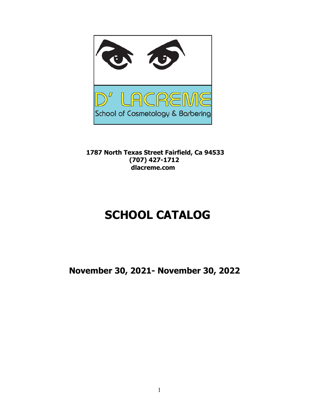

**1787 North Texas Street Fairfield, Ca 94533 (707) 427-1712 dlacreme.com**

# **SCHOOL CATALOG**

 **November 30, 2021- November 30, 2022**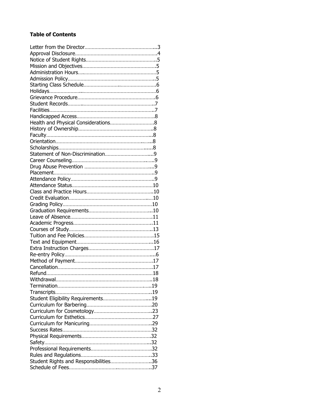## **Table of Contents**

| Student Eligibility Requirements19    |  |
|---------------------------------------|--|
|                                       |  |
|                                       |  |
|                                       |  |
|                                       |  |
|                                       |  |
|                                       |  |
|                                       |  |
|                                       |  |
|                                       |  |
| Student Rights and Responsibilities36 |  |
|                                       |  |
|                                       |  |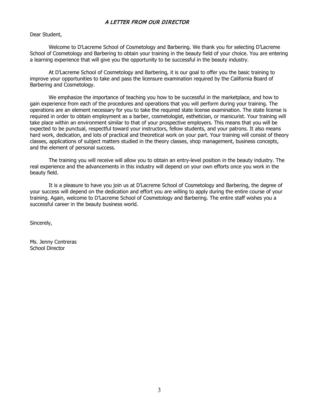#### A LETTER FROM OUR DIRECTOR

#### Dear Student,

Welcome to D'Lacreme School of Cosmetology and Barbering. We thank you for selecting D'Lacreme School of Cosmetology and Barbering to obtain your training in the beauty field of your choice. You are entering a learning experience that will give you the opportunity to be successful in the beauty industry.

At D'Lacreme School of Cosmetology and Barbering, it is our goal to offer you the basic training to improve your opportunities to take and pass the licensure examination required by the California Board of Barbering and Cosmetology.

We emphasize the importance of teaching you how to be successful in the marketplace, and how to gain experience from each of the procedures and operations that you will perform during your training. The operations are an element necessary for you to take the required state license examination. The state license is required in order to obtain employment as a barber, cosmetologist, esthetician, or manicurist. Your training will take place within an environment similar to that of your prospective employers. This means that you will be expected to be punctual, respectful toward your instructors, fellow students, and your patrons. It also means hard work, dedication, and lots of practical and theoretical work on your part. Your training will consist of theory classes, applications of subject matters studied in the theory classes, shop management, business concepts, and the element of personal success.

The training you will receive will allow you to obtain an entry-level position in the beauty industry. The real experience and the advancements in this industry will depend on your own efforts once you work in the beauty field.

It is a pleasure to have you join us at D'Lacreme School of Cosmetology and Barbering, the degree of your success will depend on the dedication and effort you are willing to apply during the entire course of your training. Again, welcome to D'Lacreme School of Cosmetology and Barbering. The entire staff wishes you a successful career in the beauty business world.

Sincerely,

Ms. Jenny Contreras School Director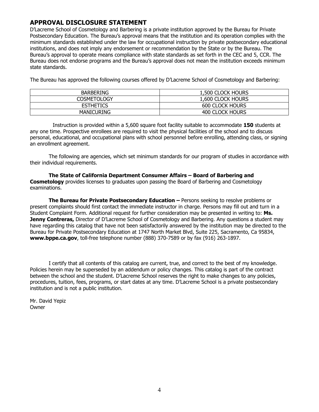## **APPROVAL DISCLOSURE STATEMENT**

D'Lacreme School of Cosmetology and Barbering is a private institution approved by the Bureau for Private Postsecondary Education. The Bureau's approval means that the institution and its operation complies with the minimum standards established under the law for occupational instruction by private postsecondary educational institutions, and does not imply any endorsement or recommendation by the State or by the Bureau. The Bureau's approval to operate means compliance with state standards as set forth in the CEC and 5, CCR. The Bureau does not endorse programs and the Bureau's approval does not mean the institution exceeds minimum state standards.

The Bureau has approved the following courses offered by D'Lacreme School of Cosmetology and Barbering:

| BARBERING          | 1,500 CLOCK HOURS      |
|--------------------|------------------------|
| <b>COSMETOLOGY</b> | 1,600 CLOCK HOURS      |
| <b>ESTHETICS</b>   | <b>600 CLOCK HOURS</b> |
| <b>MANICURING</b>  | 400 CLOCK HOURS        |

 Instruction is provided within a 5,600 square foot facility suitable to accommodate **150** students at any one time. Prospective enrollees are required to visit the physical facilities of the school and to discuss personal, educational, and occupational plans with school personnel before enrolling, attending class, or signing an enrollment agreement.

The following are agencies, which set minimum standards for our program of studies in accordance with their individual requirements.

**The State of California Department Consumer Affairs – Board of Barbering and Cosmetology** provides licenses to graduates upon passing the Board of Barbering and Cosmetology examinations.

 **The Bureau for Private Postsecondary Education –** Persons seeking to resolve problems or present complaints should first contact the immediate instructor in charge. Persons may fill out and turn in a Student Complaint Form. Additional request for further consideration may be presented in writing to: **Ms. Jenny Contreras,** Director of D'Lacreme School of Cosmetology and Barbering. Any questions a student may have regarding this catalog that have not been satisfactorily answered by the institution may be directed to the Bureau for Private Postsecondary Education at 1747 North Market Blvd, Suite 225, Sacramento, Ca 95834, **www.bppe.ca.gov**, toll-free telephone number (888) 370-7589 or by fax (916) 263-1897.

I certify that all contents of this catalog are current, true, and correct to the best of my knowledge. Policies herein may be superseded by an addendum or policy changes. This catalog is part of the contract between the school and the student. D'Lacreme School reserves the right to make changes to any policies, procedures, tuition, fees, programs, or start dates at any time. D'Lacreme School is a private postsecondary institution and is not a public institution.

Mr. David Yepiz Owner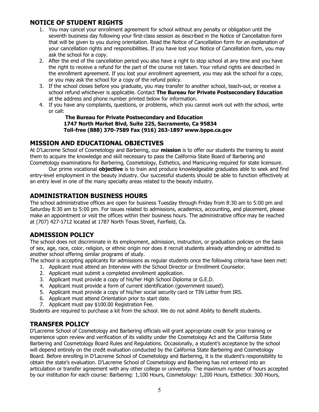## **NOTICE OF STUDENT RIGHTS**

- 1. You may cancel your enrollment agreement for school without any penalty or obligation until the seventh business day following your first-class session as described in the Notice of Cancellation form that will be given to you during orientation. Read the Notice of Cancellation form for an explanation of your cancellation rights and responsibilities. If you have lost your Notice of Cancellation form, you may ask the school for a copy.
- 2. After the end of the cancellation period you also have a right to stop school at any time and you have the right to receive a refund for the part of the course not taken. Your refund rights are described in the enrollment agreement. If you lost your enrollment agreement, you may ask the school for a copy, or you may ask the school for a copy of the refund policy.
- 3. If the school closes before you graduate, you may transfer to another school, teach-out, or receive a school refund whichever is applicable. Contact **The Bureau for Private Postsecondary Education**  at the address and phone number printed below for information.
- 4. If you have any complaints, questions, or problems, which you cannot work out with the school, write or call:

 **The Bureau for Private Postsecondary and Education 1747 North Market Blvd, Suite 225, Sacramento, Ca 95834 Toll-free (888) 370-7589 Fax (916) 263-1897 www.bppe.ca.gov**

## **MISSION AND EDUCATIONAL OBJECTIVES**

At D'Lacreme School of Cosmetology and Barbering, our **mission** is to offer our students the training to assist them to acquire the knowledge and skill necessary to pass the California State Board of Barbering and Cosmetology examinations for Barbering, Cosmetology, Esthetics, and Manicuring required for state licensure.

Our prime vocational **objective** is to train and produce knowledgeable graduates able to seek and find entry-level employment in the beauty industry. Our successful students should be able to function effectively at an entry level in one of the many specialty areas related to the beauty industry.

## **ADMINISTRATION BUSINESS HOURS**

The school administrative offices are open for business Tuesday through Friday from 8:30 am to 5:00 pm and Saturday 8:30 am to 5:00 pm. For issues related to admissions, academics, accounting, and placement, please make an appointment or visit the offices within their business hours. The administrative office may be reached at (707) 427-1712 located at 1787 North Texas Street, Fairfield, Ca.

## **ADMISSION POLICY**

The school does not discriminate in its employment, admission, instruction, or graduation policies on the basis of sex, age, race, color, religion, or ethnic origin nor does it recruit students already attending or admitted to another school offering similar programs of study.

The school is accepting applicants for admissions as regular students once the following criteria have been met:

- 1. Applicant must attend an Interview with the School Director or Enrollment Counselor.
- 2. Applicant must submit a completed enrollment application.
- 3. Applicant must provide a copy of his/her High School Diploma or G.E.D.
- 4. Applicant must provide a form of current identification (government issued).
- 5. Applicant must provide a copy of his/her social security card or TIN Letter from IRS.
- 6. Applicant must attend Orientation prior to start date.
- 7. Applicant must pay \$100.00 Registration Fee.

Students are required to purchase a kit from the school. We do not admit Ability to Benefit students.

## **TRANSFER POLICY**

D'Lacreme School of Cosmetology and Barbering officials will grant appropriate credit for prior training or experience upon review and verification of its validity under the Cosmetology Act and the California State Barbering and Cosmetology Board Rules and Regulations. Occasionally, a student's acceptance by the school will depend entirely on the credit evaluation conducted by the California State Barbering and Cosmetology Board. Before enrolling in D'Lacreme School of Cosmetology and Barbering, it is the student's responsibility to obtain the state's evaluation. D'Lacreme School of Cosmetology and Barbering has not entered into an articulation or transfer agreement with any other college or university. The maximum number of hours accepted by our institution for each course: Barbering: 1,100 Hours, Cosmetology: 1,200 Hours, Esthetics: 300 Hours,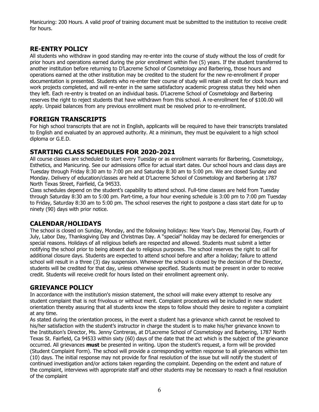Manicuring: 200 Hours. A valid proof of training document must be submitted to the institution to receive credit for hours.

## **RE-ENTRY POLICY**

All students who withdraw in good standing may re-enter into the course of study without the loss of credit for prior hours and operations earned during the prior enrollment within five (5) years. If the student transferred to another institution before returning to D'Lacreme School of Cosmetology and Barbering, those hours and operations earned at the other institution may be credited to the student for the new re-enrollment if proper documentation is presented. Students who re-enter their course of study will retain all credit for clock hours and work projects completed, and will re-enter in the same satisfactory academic progress status they held when they left. Each re-entry is treated on an individual basis. D'Lacreme School of Cosmetology and Barbering reserves the right to reject students that have withdrawn from this school. A re-enrollment fee of \$100.00 will apply. Unpaid balances from any previous enrollment must be resolved prior to re-enrollment.

## **FOREIGN TRANSCRIPTS**

For high school transcripts that are not in English, applicants will be required to have their transcripts translated to English and evaluated by an approved authority. At a minimum, they must be equivalent to a high school diploma or G.E.D.

## **STARTING CLASS SCHEDULES FOR 2020-2021**

All course classes are scheduled to start every Tuesday or as enrollment warrants for Barbering, Cosmetology, Esthetics, and Manicuring. See our admissions office for actual start dates. Our school hours and class days are Tuesday through Friday 8:30 am to 7:00 pm and Saturday 8:30 am to 5:00 pm. We are closed Sunday and Monday. Delivery of education/classes are held at D'Lacreme School of Cosmetology and Barbering at 1787 North Texas Street, Fairfield, Ca 94533.

Class schedules depend on the student's capability to attend school. Full-time classes are held from Tuesday through Saturday 8:30 am to 5:00 pm. Part-time, a four hour evening schedule is 3:00 pm to 7:00 pm Tuesday to Friday, Saturday 8:30 am to 5:00 pm. The school reserves the right to postpone a class start date for up to ninety (90) days with prior notice.

## **CALENDAR/HOLIDAYS**

The school is closed on Sunday, Monday, and the following holidays: New Year's Day, Memorial Day, Fourth of July, Labor Day, Thanksgiving Day and Christmas Day. A "special" holiday may be declared for emergencies or special reasons. Holidays of all religious beliefs are respected and allowed. Students must submit a letter notifying the school prior to being absent due to religious purposes. The school reserves the right to call for additional closure days. Students are expected to attend school before and after a holiday; failure to attend school will result in a three (3) day suspension. Whenever the school is closed by the decision of the Director, students will be credited for that day, unless otherwise specified. Students must be present in order to receive credit. Students will receive credit for hours listed on their enrollment agreement only.

## **GRIEVANCE POLICY**

In accordance with the institution's mission statement, the school will make every attempt to resolve any student complaint that is not frivolous or without merit. Complaint procedures will be included in new student orientation thereby assuring that all students know the steps to follow should they desire to register a complaint at any time.

As stated during the orientation process, in the event a student has a grievance which cannot be resolved to his/her satisfaction with the student's instructor in charge the student is to make his/her grievance known to the Institution's Director, Ms. Jenny Contreras, at D'Lacreme School of Cosmetology and Barbering, 1787 North Texas St. Fairfield, Ca 94533 within sixty (60) days of the date that the act which is the subject of the grievance occurred. All grievances **must** be presented in writing. Upon the student's request, a form will be provided (Student Complaint Form). The school will provide a corresponding written response to all grievances within ten (10) days. The initial response may not provide for final resolution of the issue but will notify the student of continued investigation and/or actions taken regarding the complaint. Depending on the extent and nature of the complaint, interviews with appropriate staff and other students may be necessary to reach a final resolution of the complaint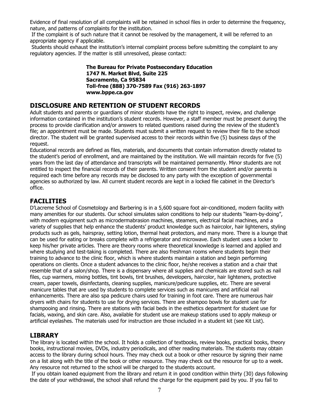Evidence of final resolution of all complaints will be retained in school files in order to determine the frequency, nature, and patterns of complaints for the institution.

If the complaint is of such nature that it cannot be resolved by the management, it will be referred to an appropriate agency if applicable.

Students should exhaust the institution's internal complaint process before submitting the complaint to any regulatory agencies. If the matter is still unresolved, please contact:

> **The Bureau for Private Postsecondary Education 1747 N. Market Blvd, Suite 225 Sacramento, Ca 95834 Toll-free (888) 370-7589 Fax (916) 263-1897 www.bppe.ca.gov**

## **DISCLOSURE AND RETENTION OF STUDENT RECORDS**

Adult students and parents or guardians of minor students have the right to inspect, review, and challenge information contained in the institution's student records. However, a staff member must be present during the process to provide clarification and/or answers to related questions raised during the review of the student's file; an appointment must be made. Students must submit a written request to review their file to the school director. The student will be granted supervised access to their records within five (5) business days of the request.

Educational records are defined as files, materials, and documents that contain information directly related to the student's period of enrollment, and are maintained by the institution. We will maintain records for five (5) years from the last day of attendance and transcripts will be maintained permanently. Minor students are not entitled to inspect the financial records of their parents. Written consent from the student and/or parents is required each time before any records may be disclosed to any party with the exception of governmental agencies so authorized by law. All current student records are kept in a locked file cabinet in the Director's office.

## **FACILITIES**

D'Lacreme School of Cosmetology and Barbering is in a 5,600 square foot air-conditioned, modern facility with many amenities for our students. Our school simulates salon conditions to help our students "learn-by-doing", with modern equipment such as microdermabrasion machines, steamers, electrical facial machines, and a variety of supplies that help enhance the students' product knowledge such as haircolor, hair lighteners, styling products such as gels, hairspray, setting lotion, thermal heat protectors, and many more. There is a lounge that can be used for eating or breaks complete with a refrigerator and microwave. Each student uses a locker to keep his/her private articles. There are theory rooms where theoretical knowledge is learned and applied and where studying and test-taking is completed. There are also freshman rooms where students begin their training to advance to the clinic floor, which is where students maintain a station and begin performing operations on clients. Once a student advances to the clinic floor, he/she receives a station and a chair that resemble that of a salon/shop. There is a dispensary where all supplies and chemicals are stored such as nail files, cup warmers, mixing bottles, tint bowls, tint brushes, developers, haircolor, hair lighteners, protective cream, paper towels, disinfectants, cleaning supplies, manicure/pedicure supplies, etc. There are several manicure tables that are used by students to complete services such as manicures and artificial nail enhancements. There are also spa pedicure chairs used for training in foot care. There are numerous hair dryers with chairs for students to use for drying services. There are shampoo bowls for student use for shampooing and rinsing. There are stations with facial beds in the esthetics department for student use for facials, waxing, and skin care. Also, available for student use are makeup stations used to apply makeup or artificial eyelashes. The materials used for instruction are those included in a student kit (see Kit List).

## **LIBRARY**

The library is located within the school. It holds a collection of textbooks, review books, practical books, theory books, instructional movies, DVDs, industry periodicals, and other reading materials. The students may obtain access to the library during school hours. They may check out a book or other resource by signing their name on a list along with the title of the book or other resource. They may check out the resource for up to a week. Any resource not returned to the school will be charged to the students account.

If you obtain loaned equipment from the library and return it in good condition within thirty (30) days following the date of your withdrawal, the school shall refund the charge for the equipment paid by you. If you fail to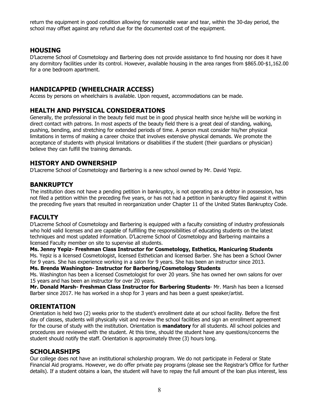return the equipment in good condition allowing for reasonable wear and tear, within the 30-day period, the school may offset against any refund due for the documented cost of the equipment.

## **HOUSING**

D'Lacreme School of Cosmetology and Barbering does not provide assistance to find housing nor does it have any dormitory facilities under its control. However, available housing in the area ranges from \$865.00-\$1,162.00 for a one bedroom apartment.

## **HANDICAPPED (WHEELCHAIR ACCESS)**

Access by persons on wheelchairs is available. Upon request, accommodations can be made.

## **HEALTH AND PHYSICAL CONSIDERATIONS**

Generally, the professional in the beauty field must be in good physical health since he/she will be working in direct contact with patrons. In most aspects of the beauty field there is a great deal of standing, walking, pushing, bending, and stretching for extended periods of time. A person must consider his/her physical limitations in terms of making a career choice that involves extensive physical demands. We promote the acceptance of students with physical limitations or disabilities if the student (their guardians or physician) believe they can fulfill the training demands.

## **HISTORY AND OWNERSHIP**

D'Lacreme School of Cosmetology and Barbering is a new school owned by Mr. David Yepiz.

### **BANKRUPTCY**

The institution does not have a pending petition in bankruptcy, is not operating as a debtor in possession, has not filed a petition within the preceding five years, or has not had a petition in bankruptcy filed against it within the preceding five years that resulted in reorganization under Chapter 11 of the United States Bankruptcy Code.

## **FACULTY**

D'Lacreme School of Cosmetology and Barbering is equipped with a faculty consisting of industry professionals who hold valid licenses and are capable of fulfilling the responsibilities of educating students on the latest techniques and most updated information. D'Lacreme School of Cosmetology and Barbering maintains a licensed Faculty member on site to supervise all students.

**Ms. Jenny Yepiz- Freshman Class Instructor for Cosmetology, Esthetics, Manicuring Students** Ms. Yepiz is a licensed Cosmetologist, licensed Esthetician and licensed Barber. She has been a School Owner for 9 years. She has experience working in a salon for 9 years. She has been an instructor since 2013.

**Ms. Brenda Washington- Instructor for Barbering/Cosmetology Students**

Ms. Washington has been a licensed Cosmetologist for over 20 years. She has owned her own salons for over 15 years and has been an instructor for over 20 years.

**Mr. Donald Marsh- Freshman Class Instructor for Barbering Students**- Mr. Marsh has been a licensed Barber since 2017. He has worked in a shop for 3 years and has been a guest speaker/artist.

## **ORIENTATION**

Orientation is held two (2) weeks prior to the student's enrollment date at our school facility. Before the first day of classes, students will physically visit and review the school facilities and sign an enrollment agreement for the course of study with the institution. Orientation is **mandatory** for all students. All school policies and procedures are reviewed with the student. At this time, should the student have any questions/concerns the student should notify the staff. Orientation is approximately three (3) hours long.

#### **SCHOLARSHIPS**

Our college does not have an institutional scholarship program. We do not participate in Federal or State Financial Aid programs. However, we do offer private pay programs (please see the Registrar's Office for further details). If a student obtains a loan, the student will have to repay the full amount of the loan plus interest, less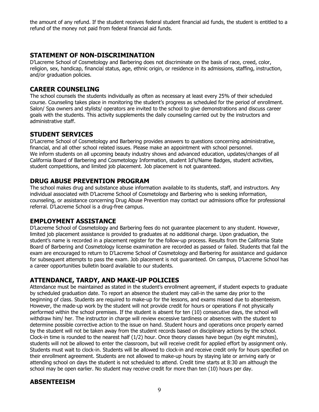the amount of any refund. If the student receives federal student financial aid funds, the student is entitled to a refund of the money not paid from federal financial aid funds.

## **STATEMENT OF NON-DISCRIMINATION**

D'Lacreme School of Cosmetology and Barbering does not discriminate on the basis of race, creed, color, religion, sex, handicap, financial status, age, ethnic origin, or residence in its admissions, staffing, instruction, and/or graduation policies.

## **CAREER COUNSELING**

The school counsels the students individually as often as necessary at least every 25% of their scheduled course. Counseling takes place in monitoring the student's progress as scheduled for the period of enrollment. Salon/ Spa owners and stylists/ operators are invited to the school to give demonstrations and discuss career goals with the students. This activity supplements the daily counseling carried out by the instructors and administrative staff.

### **STUDENT SERVICES**

D'Lacreme School of Cosmetology and Barbering provides answers to questions concerning administrative, financial, and all other school related issues. Please make an appointment with school personnel. We inform students on all upcoming beauty industry shows and advanced education, updates/changes of all California Board of Barbering and Cosmetology Information, student Id's/Name Badges, student activities, student competitions, and limited job placement. Job placement is not guaranteed.

## **DRUG ABUSE PREVENTION PROGRAM**

The school makes drug and substance abuse information available to its students, staff, and instructors. Any individual associated with D'Lacreme School of Cosmetology and Barbering who is seeking information, counseling, or assistance concerning Drug Abuse Prevention may contact our admissions office for professional referral. D'Lacreme School is a drug-free campus.

## **EMPLOYMENT ASSISTANCE**

D'Lacreme School of Cosmetology and Barbering fees do not guarantee placement to any student. However, limited job placement assistance is provided to graduates at no additional charge. Upon graduation, the student's name is recorded in a placement register for the follow-up process. Results from the California State Board of Barbering and Cosmetology license examination are recorded as passed or failed. Students that fail the exam are encouraged to return to D'Lacreme School of Cosmetology and Barbering for assistance and guidance for subsequent attempts to pass the exam. Job placement is not guaranteed. On campus, D'Lacreme School has a career opportunities bulletin board available to our students.

## **ATTENDANCE, TARDY, AND MAKE-UP POLICIES**

Attendance must be maintained as stated in the student's enrollment agreement, if student expects to graduate by scheduled graduation date. To report an absence the student may call-in the same day prior to the beginning of class. Students are required to make-up for the lessons, and exams missed due to absenteeism. However, the made-up work by the student will not provide credit for hours or operations if not physically performed within the school premises. If the student is absent for ten (10) consecutive days, the school will withdraw him/ her. The instructor in charge will review excessive tardiness or absences with the student to determine possible corrective action to the issue on hand. Student hours and operations once properly earned by the student will not be taken away from the student records based on disciplinary actions by the school. Clock-in time is rounded to the nearest half (1/2) hour. Once theory classes have begun (by eight minutes), students will not be allowed to enter the classroom, but will receive credit for applied effort by assignment only. Students must wait to clock-in. Students will be allowed to clock-in and receive credit only for hours specified on their enrollment agreement. Students are not allowed to make-up hours by staying late or arriving early or attending school on days the student is not scheduled to attend. Credit time starts at 8:30 am although the school may be open earlier. No student may receive credit for more than ten (10) hours per day.

## **ABSENTEEISM**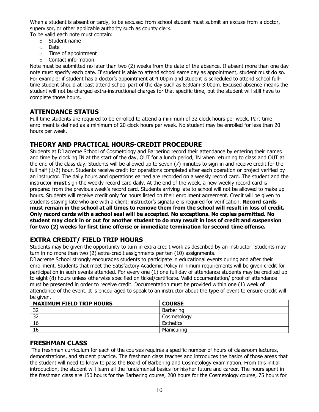When a student is absent or tardy, to be excused from school student must submit an excuse from a doctor, supervisor, or other applicable authority such as county clerk.

To be valid each note must contain:

- o Student name
- o Date
- o Time of appointment
- o Contact information

Note must be submitted no later than two (2) weeks from the date of the absence. If absent more than one day note must specify each date. If student is able to attend school same day as appointment, student must do so. For example; if student has a doctor's appointment at 4:00pm and student is scheduled to attend school fulltime student should at least attend school part of the day such as 8:30am-3:00pm. Excused absence means the student will not be charged extra-instructional charges for that specific time, but the student will still have to complete those hours.

## **ATTENDANCE STATUS**

Full-time students are required to be enrolled to attend a minimum of 32 clock hours per week. Part-time enrollment is defined as a minimum of 20 clock hours per week. No student may be enrolled for less than 20 hours per week.

## **THEORY AND PRACTICAL HOURS-CREDIT PROCEDURE**

Students at D'Lacreme School of Cosmetology and Barbering record their attendance by entering their names and time by clocking IN at the start of the day, OUT for a lunch period, IN when returning to class and OUT at the end of the class day. Students will be allowed up to seven (7) minutes to sign-in and receive credit for the full half (1/2) hour. Students receive credit for operations completed after each operation or project verified by an instructor. The daily hours and operations earned are recorded on a weekly record card. The student and the instructor **must** sign the weekly record card daily. At the end of the week, a new weekly record card is prepared from the previous week's record card. Students arriving late to school will not be allowed to make up hours. Students will receive credit only for hours listed on their enrollment agreement. Credit will be given to students staying late who are with a client; instructor's signature is required for verification. **Record cards must remain in the school at all times to remove them from the school will result in loss of credit. Only record cards with a school seal will be accepted. No exceptions. No copies permitted. No student may clock in or out for another student to do may result in loss of credit and suspension for two (2) weeks for first time offense or immediate termination for second time offense.**

## **EXTRA CREDIT/ FIELD TRIP HOURS**

Students may be given the opportunity to turn in extra credit work as described by an instructor. Students may turn in no more than two (2) extra-credit assignments per ten (10) assignments.

D'Lacreme School strongly encourages students to participate in educational events during and after their enrollment. Students that meet the Satisfactory Academic Policy minimum requirements will be given credit for participation in such events attended. For every one (1) one full day of attendance students may be credited up to eight (8) hours unless otherwise specified on ticket/certificate. Valid documentation/ proof of attendance must be presented in order to receive credit. Documentation must be provided within one (1) week of attendance of the event. It is encouraged to speak to an instructor about the type of event to ensure credit will be given.

| <b>MAXIMUM FIELD TRIP HOURS</b> | <b>COURSE</b> |
|---------------------------------|---------------|
| 32                              | Barbering     |
| 32                              | Cosmetology   |
| 16                              | Esthetics     |
| 16                              | Manicuring    |

## **FRESHMAN CLASS**

The freshman curriculum for each of the courses requires a specific number of hours of classroom lectures, demonstrations, and student practice. The freshman class teaches and introduces the basics of those areas that the student will need to know to pass the Board of Barbering and Cosmetology examination. From this initial introduction, the student will learn all the fundamental basics for his/her future and career. The hours spent in the freshman class are 150 hours for the Barbering course, 200 hours for the Cosmetology course, 75 hours for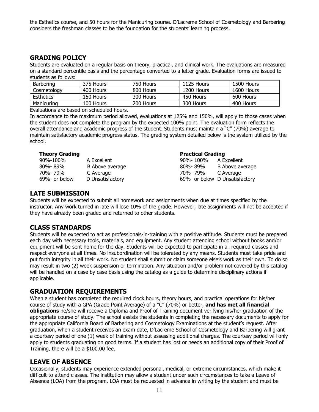the Esthetics course, and 50 hours for the Manicuring course. D'Lacreme School of Cosmetology and Barbering considers the freshman classes to be the foundation for the students' learning process.

## **GRADING POLICY**

Students are evaluated on a regular basis on theory, practical, and clinical work. The evaluations are measured on a standard percentile basis and the percentage converted to a letter grade. Evaluation forms are issued to students as follows:

| Barbering        | 375 Hours | 750 Hours | 1125 Hours | 1500 Hours |
|------------------|-----------|-----------|------------|------------|
| Cosmetology      | 400 Hours | 800 Hours | 1200 Hours | 1600 Hours |
| <b>Esthetics</b> | 150 Hours | 300 Hours | 450 Hours  | 600 Hours  |
| Manicuring       | 100 Hours | 200 Hours | 300 Hours  | 400 Hours  |

Evaluations are based on scheduled hours.

In accordance to the maximum period allowed, evaluations at 125% and 150%, will apply to those cases when the student does not complete the program by the expected 100% point. The evaluation form reflects the overall attendance and academic progress of the student. Students must maintain a "C" (70%) average to maintain satisfactory academic progress status. The grading system detailed below is the system utilized by the school.

**Theory Grading**<br>
90%-100% <br>
A Excellent **Practical Grading**<br>
90%-100% A Excellent 90%-100% A Excellent<br>80%- 89% B Above ave B Above average 70%- 79% C Average<br>69%- or below D Unsatisfa D Unsatisfactory

| 90%-100% | A Excellent                    |
|----------|--------------------------------|
| 80%-89%  | B Above average                |
| 70%-79%  | C Average                      |
|          | 69%- or below D Unsatisfactory |

## **LATE SUBMISSION**

Students will be expected to submit all homework and assignments when due at times specified by the instructor. Any work turned in late will lose 10% of the grade. However, late assignments will not be accepted if they have already been graded and returned to other students.

## **CLASS STANDARDS**

Students will be expected to act as professionals-in-training with a positive attitude. Students must be prepared each day with necessary tools, materials, and equipment. Any student attending school without books and/or equipment will be sent home for the day. Students will be expected to participate in all required classes and respect everyone at all times. No insubordination will be tolerated by any means. Students must take pride and put forth integrity in all their work. No student shall submit or claim someone else's work as their own. To do so may result in two (2) week suspension or termination. Any situation and/or problem not covered by this catalog will be handled on a case by case basis using the catalog as a guide to determine disciplinary actions if applicable.

## **GRADUATION REQUIREMENTS**

When a student has completed the required clock hours, theory hours, and practical operations for his/her course of study with a GPA (Grade Point Average) of a "C" (70%) or better, **and has met all financial obligations** he/she will receive a Diploma and Proof of Training document verifying his/her graduation of the appropriate course of study. The school assists the students in completing the necessary documents to apply for the appropriate California Board of Barbering and Cosmetology Examinations at the student's request. After graduation, when a student receives an exam date, D'Lacreme School of Cosmetology and Barbering will grant a courtesy period of one (1) week of training without assessing additional charges. The courtesy period will only apply to students graduating on good terms. If a student has lost or needs an additional copy of their Proof of Training, there will be a \$100.00 fee.

## **LEAVE OF ABSENCE**

Occasionally, students may experience extended personal, medical, or extreme circumstances, which make it difficult to attend classes. The institution may allow a student under such circumstances to take a Leave of Absence (LOA) from the program. LOA must be requested in advance in writing by the student and must be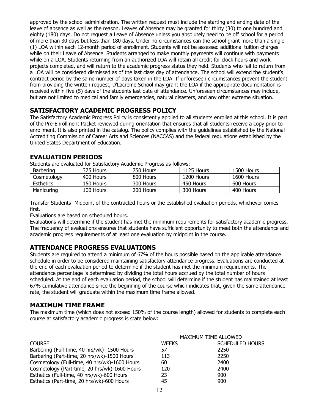approved by the school administration. The written request must include the starting and ending date of the leave of absence as well as the reason. Leaves of Absence may be granted for thirty (30) to one hundred and eighty (180) days. Do not request a Leave of Absence unless you absolutely need to be off school for a period of more than 30 days but less than 180 days. Under no circumstances can the school grant more than a single (1) LOA within each 12-month period of enrollment. Students will not be assessed additional tuition charges while on their Leave of Absence. Students arranged to make monthly payments will continue with payments while on a LOA. Students returning from an authorized LOA will retain all credit for clock hours and work projects completed, and will return to the academic progress status they held. Students who fail to return from a LOA will be considered dismissed as of the last class day of attendance. The school will extend the student's contract period by the same number of days taken in the LOA. If unforeseen circumstances prevent the student from providing the written request, D'Lacreme School may grant the LOA if the appropriate documentation is received within five (5) days of the students last date of attendance. Unforeseen circumstances may include, but are not limited to medical and family emergencies, natural disasters, and any other extreme situation.

## **SATISFACTORY ACADEMIC PROGRESS POLICY**

The Satisfactory Academic Progress Policy is consistently applied to all students enrolled at this school. It is part of the Pre-Enrollment Packet reviewed during orientation that ensures that all students receive a copy prior to enrollment. It is also printed in the catalog. The policy complies with the guidelines established by the National Accrediting Commission of Career Arts and Sciences (NACCAS) and the federal regulations established by the United States Department of Education.

## **EVALUATION PERIODS**

Students are evaluated for Satisfactory Academic Progress as follows:

| Barbering        | 375 Hours | 750 Hours | 1125 Hours | 1500 Hours |
|------------------|-----------|-----------|------------|------------|
| Cosmetology      | 400 Hours | 800 Hours | 1200 Hours | 1600 Hours |
| <b>Esthetics</b> | 150 Hours | 300 Hours | 450 Hours  | 600 Hours  |
| Manicuring       | 100 Hours | 200 Hours | 300 Hours  | 400 Hours  |

Transfer Students- Midpoint of the contracted hours or the established evaluation periods, whichever comes first.

Evaluations are based on scheduled hours.

Evaluations will determine if the student has met the minimum requirements for satisfactory academic progress. The frequency of evaluations ensures that students have sufficient opportunity to meet both the attendance and academic progress requirements of at least one evaluation by midpoint in the course.

## **ATTENDANCE PROGRESS EVALUATIONS**

Students are required to attend a minimum of 67% of the hours possible based on the applicable attendance schedule in order to be considered maintaining satisfactory attendance progress. Evaluations are conducted at the end of each evaluation period to determine if the student has met the minimum requirements. The attendance percentage is determined by dividing the total hours accrued by the total number of hours scheduled. At the end of each evaluation period, the school will determine if the student has maintained at least 67% cumulative attendance since the beginning of the course which indicates that, given the same attendance rate, the student will graduate within the maximum time frame allowed.

## **MAXIMUM TIME FRAME**

The maximum time (which does not exceed 150% of the course length) allowed for students to complete each course at satisfactory academic progress is state below:

|                                               | <b>MAXIMUM TIME ALLOWED</b>            |      |  |
|-----------------------------------------------|----------------------------------------|------|--|
| <b>COURSE</b>                                 | <b>SCHEDULED HOURS</b><br><b>WEEKS</b> |      |  |
| Barbering (Full-time, 40 hrs/wk)- 1500 Hours  | 57                                     | 2250 |  |
| Barbering (Part-time, 20 hrs/wk)-1500 Hours   | 113                                    | 2250 |  |
| Cosmetology (Full-time, 40 hrs/wk)-1600 Hours | 60                                     | 2400 |  |
| Cosmetology (Part-time, 20 hrs/wk)-1600 Hours | 120                                    | 2400 |  |
| Esthetics (Full-time, 40 hrs/wk)-600 Hours    | 23                                     | 900  |  |
| Esthetics (Part-time, 20 hrs/wk)-600 Hours    | 45                                     | 900  |  |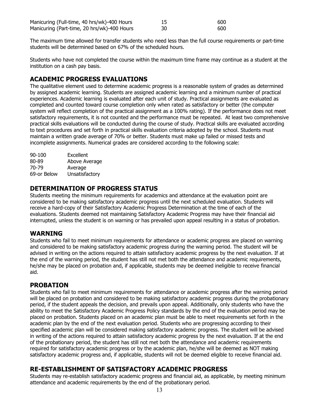| Manicuring (Full-time, 40 hrs/wk)-400 Hours |    | 600 |
|---------------------------------------------|----|-----|
| Manicuring (Part-time, 20 hrs/wk)-400 Hours | 30 | 600 |

The maximum time allowed for transfer students who need less than the full course requirements or part-time students will be determined based on 67% of the scheduled hours.

Students who have not completed the course within the maximum time frame may continue as a student at the institution on a cash pay basis.

## **ACADEMIC PROGRESS EVALUATIONS**

The qualitative element used to determine academic progress is a reasonable system of grades as determined by assigned academic learning. Students are assigned academic learning and a minimum number of practical experiences. Academic learning is evaluated after each unit of study. Practical assignments are evaluated as completed and counted toward course completion only when rated as satisfactory or better (the computer system will reflect completion of the practical assignment as a 100% rating). If the performance does not meet satisfactory requirements, it is not counted and the performance must be repeated. At least two comprehensive practical skills evaluations will be conducted during the course of study. Practical skills are evaluated according to text procedures and set forth in practical skills evaluation criteria adopted by the school. Students must maintain a written grade average of 70% or better. Students must make up failed or missed tests and incomplete assignments. Numerical grades are considered according to the following scale:

| $90 - 100$  | Excellent      |
|-------------|----------------|
| 80-89       | Above Average  |
| 70-79       | Average        |
| 69-or Below | Unsatisfactory |

## **DETERMINATION OF PROGRESS STATUS**

Students meeting the minimum requirements for academics and attendance at the evaluation point are considered to be making satisfactory academic progress until the next scheduled evaluation. Students will receive a hard-copy of their Satisfactory Academic Progress Determination at the time of each of the evaluations. Students deemed not maintaining Satisfactory Academic Progress may have their financial aid interrupted, unless the student is on warning or has prevailed upon appeal resulting in a status of probation.

## **WARNING**

Students who fail to meet minimum requirements for attendance or academic progress are placed on warning and considered to be making satisfactory academic progress during the warning period. The student will be advised in writing on the actions required to attain satisfactory academic progress by the next evaluation. If at the end of the warning period, the student has still not met both the attendance and academic requirements, he/she may be placed on probation and, if applicable, students may be deemed ineligible to receive financial aid.

## **PROBATION**

Students who fail to meet minimum requirements for attendance or academic progress after the warning period will be placed on probation and considered to be making satisfactory academic progress during the probationary period, if the student appeals the decision, and prevails upon appeal. Additionally, only students who have the ability to meet the Satisfactory Academic Progress Policy standards by the end of the evaluation period may be placed on probation. Students placed on an academic plan must be able to meet requirements set forth in the academic plan by the end of the next evaluation period. Students who are progressing according to their specified academic plan will be considered making satisfactory academic progress. The student will be advised in writing of the actions required to attain satisfactory academic progress by the next evaluation. If at the end of the probationary period, the student has still not met both the attendance and academic requirements required for satisfactory academic progress or by the academic plan, he/she will be deemed as NOT making satisfactory academic progress and, if applicable, students will not be deemed eligible to receive financial aid.

## **RE-ESTABLISHMENT OF SATISFACTORY ACADEMIC PROGRESS**

Students may re-establish satisfactory academic progress and financial aid, as applicable, by meeting minimum attendance and academic requirements by the end of the probationary period.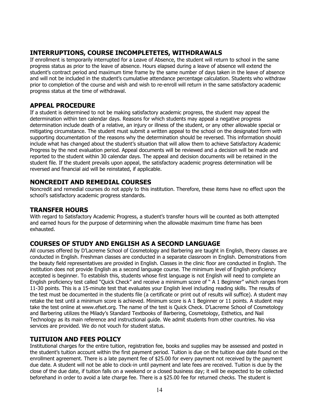## **INTERRUPTIONS, COURSE INCOMPLETETES, WITHDRAWALS**

If enrollment is temporarily interrupted for a Leave of Absence, the student will return to school in the same progress status as prior to the leave of absence. Hours elapsed during a leave of absence will extend the student's contract period and maximum time frame by the same number of days taken in the leave of absence and will not be included in the student's cumulative attendance percentage calculation. Students who withdraw prior to completion of the course and wish and wish to re-enroll will return in the same satisfactory academic progress status at the time of withdrawal.

## **APPEAL PROCEDURE**

If a student is determined to not be making satisfactory academic progress, the student may appeal the determination within ten calendar days. Reasons for which students may appeal a negative progress determination include death of a relative, an injury or illness of the student, or any other allowable special or mitigating circumstance. The student must submit a written appeal to the school on the designated form with supporting documentation of the reasons why the determination should be reversed. This information should include what has changed about the student's situation that will allow them to achieve Satisfactory Academic Progress by the next evaluation period. Appeal documents will be reviewed and a decision will be made and reported to the student within 30 calendar days. The appeal and decision documents will be retained in the student file. If the student prevails upon appeal, the satisfactory academic progress determination will be reversed and financial aid will be reinstated, if applicable.

## **NONCREDIT AND REMEDIAL COURSES**

Noncredit and remedial courses do not apply to this institution. Therefore, these items have no effect upon the school's satisfactory academic progress standards.

## **TRANSFER HOURS**

With regard to Satisfactory Academic Progress, a student's transfer hours will be counted as both attempted and earned hours for the purpose of determining when the allowable maximum time frame has been exhausted.

## **COURSES OF STUDY AND ENGLISH AS A SECOND LANGUAGE**

All courses offered by D'Lacreme School of Cosmetology and Barbering are taught in English, theory classes are conducted in English. Freshman classes are conducted in a separate classroom in English. Demonstrations from the beauty field representatives are provided in English. Classes in the clinic floor are conducted in English. The institution does not provide English as a second language course. The minimum level of English proficiency accepted is beginner. To establish this, students whose first language is not English will need to complete an English proficiency test called "Quick Check" and receive a minimum score of " A 1 Beginner" which ranges from 11-30 points. This is a 15-minute test that evaluates your English level including reading skills. The results of the test must be documented in the students file (a certificate or print out of results will suffice). A student may retake the test until a minimum score is achieved. Minimum score is A 1 Beginner or 11 points. A student may take the test online at www.efset.org. The name of the test is Quick Check. D'Lacreme School of Cosmetology and Barbering utilizes the Milady's Standard Textbooks of Barbering, Cosmetology, Esthetics, and Nail Technology as its main reference and instructional guide. We admit students from other countries. No visa services are provided. We do not vouch for student status.

## **TUITUION AND FEES POLICY**

Institutional charges for the entire tuition, registration fee, books and supplies may be assessed and posted in the student's tuition account within the first payment period. Tuition is due on the tuition due date found on the enrollment agreement. There is a late payment fee of \$25.00 for every payment not received by the payment due date. A student will not be able to clock-in until payment and late fees are received. Tuition is due by the close of the due date, if tuition falls on a weekend or a closed business day; it will be expected to be collected beforehand in order to avoid a late charge fee. There is a \$25.00 fee for returned checks. The student is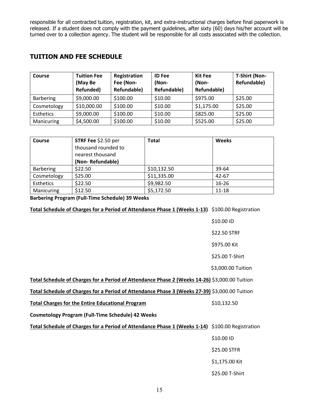responsible for all contracted tuition, registration, kit, and extra-instructional charges before final paperwork is released. If a student does not comply with the payment guidelines, after sixty (60) days his/her account will be turned over to a collection agency. The student will be responsible for all costs associated with the collection.

## **TUITION AND FEE SCHEDULE**

| Course           | <b>Tuition Fee</b><br>(May Be<br>Refunded) | Registration<br>Fee (Non-<br>Refundable) | <b>ID Fee</b><br>(Non-<br>Refundable) | <b>Kit Fee</b><br>(Non-<br>Refundable) | T-Shirt (Non-<br>Refundable) |
|------------------|--------------------------------------------|------------------------------------------|---------------------------------------|----------------------------------------|------------------------------|
| <b>Barbering</b> | \$9,000.00                                 | \$100.00                                 | \$10.00                               | \$975.00                               | \$25.00                      |
| Cosmetology      | \$10,000.00                                | \$100.00                                 | \$10.00                               | \$1,175.00                             | \$25.00                      |
| Esthetics        | \$9,000.00                                 | \$100.00                                 | \$10.00                               | \$825.00                               | \$25.00                      |
| Manicuring       | \$4,500.00                                 | \$100.00                                 | \$10.00                               | \$525.00                               | \$25.00                      |

| Course           | STRF Fee \$2.50 per<br>thousand rounded to<br>nearest thousand<br>(Non-Refundable) | <b>Total</b> | Weeks     |
|------------------|------------------------------------------------------------------------------------|--------------|-----------|
|                  |                                                                                    |              |           |
| <b>Barbering</b> | \$22.50                                                                            | \$10,132.50  | 39-64     |
| Cosmetology      | \$25.00                                                                            | \$11,335.00  | 42-67     |
| Esthetics        | \$22.50                                                                            | \$9,982.50   | $16 - 26$ |
| Manicuring       | \$12.50                                                                            | \$5,172.50   | $11 - 18$ |

**Barbering Program (Full-Time Schedule) 39 Weeks**

**Total Schedule of Charges for a Period of Attendance Phase 1 (Weeks 1-13)** \$100.00 Registration \$10.00 ID \$22.50 STRF \$975.00 Kit \$25.00 T-Shirt \$3,000.00 Tuition **Total Schedule of Charges for a Period of Attendance Phase 2 (Weeks 14-26)** \$3,000.00 Tuition **Total Schedule of Charges for a Period of Attendance Phase 3 (Weeks 27-39)** \$3,000.00 Tuition **Total Charges for the Entire Educational Program** \$10,132.50 **Cosmetology Program (Full-Time Schedule) 42 Weeks Total Schedule of Charges for a Period of Attendance Phase 1 (Weeks 1-14)** \$100.00 Registration \$10.00 ID \$25.00 STFR \$1,175.00 Kit \$25.00 T-Shirt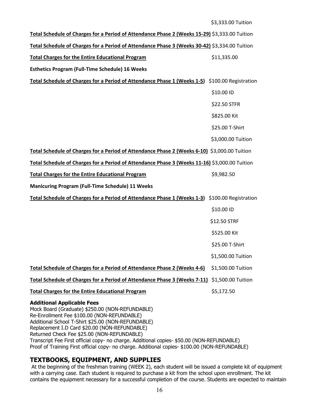| Total Schedule of Charges for a Period of Attendance Phase 2 (Weeks 15-29) \$3,333.00 Tuition                                       |                    |
|-------------------------------------------------------------------------------------------------------------------------------------|--------------------|
| Total Schedule of Charges for a Period of Attendance Phase 3 (Weeks 30-42) \$3,334.00 Tuition                                       |                    |
| <b>Total Charges for the Entire Educational Program</b>                                                                             | \$11,335.00        |
| <b>Esthetics Program (Full-Time Schedule) 16 Weeks</b>                                                                              |                    |
| Total Schedule of Charges for a Period of Attendance Phase 1 (Weeks 1-5) \$100.00 Registration                                      |                    |
|                                                                                                                                     | \$10.00 ID         |
|                                                                                                                                     | \$22.50 STFR       |
|                                                                                                                                     | \$825.00 Kit       |
|                                                                                                                                     | \$25.00 T-Shirt    |
|                                                                                                                                     | \$3,000.00 Tuition |
| Total Schedule of Charges for a Period of Attendance Phase 2 (Weeks 6-10) \$3,000.00 Tuition                                        |                    |
| Total Schedule of Charges for a Period of Attendance Phase 3 (Weeks 11-16) \$3,000.00 Tuition                                       |                    |
| <b>Total Charges for the Entire Educational Program</b>                                                                             | \$9,982.50         |
| <b>Manicuring Program (Full-Time Schedule) 11 Weeks</b>                                                                             |                    |
| Total Schedule of Charges for a Period of Attendance Phase 1 (Weeks 1-3) \$100.00 Registration                                      |                    |
|                                                                                                                                     | \$10.00 ID         |
|                                                                                                                                     | \$12.50 STRF       |
|                                                                                                                                     | \$525.00 Kit       |
|                                                                                                                                     | \$25.00 T-Shirt    |
|                                                                                                                                     | \$1,500.00 Tuition |
| Total Schedule of Charges for a Period of Attendance Phase 2 (Weeks 4-6)                                                            | \$1,500.00 Tuition |
| Total Schedule of Charges for a Period of Attendance Phase 3 (Weeks 7-11)                                                           | \$1,500.00 Tuition |
| <b>Total Charges for the Entire Educational Program</b>                                                                             | \$5,172.50         |
| <b>Additional Applicable Fees</b><br>Mock Board (Graduate) \$250.00 (NON-REFUNDABLE)<br>Re-Enrollment Fee \$100.00 (NON-REFUNDABLE) |                    |

\$3,333.00 Tuition

Additional School T-Shirt \$25.00 (NON-REFUNDABLE) Replacement I.D Card \$20.00 (NON-REFUNDABLE) Returned Check Fee \$25.00 (NON-REFUNDABLE) Transcript Fee First official copy- no charge. Additional copies- \$50.00 (NON-REFUNDABLE) Proof of Training First official copy- no charge. Additional copies- \$100.00 (NON-REFUNDABLE)

## **TEXTBOOKS, EQUIPMENT, AND SUPPLIES**

At the beginning of the freshman training (WEEK 2), each student will be issued a complete kit of equipment with a carrying case. Each student is required to purchase a kit from the school upon enrollment. The kit contains the equipment necessary for a successful completion of the course. Students are expected to maintain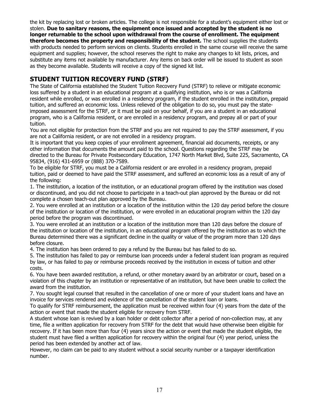the kit by replacing lost or broken articles. The college is not responsible for a student's equipment either lost or stolen. **Due to sanitary reasons, the equipment once issued and accepted by the student is no longer returnable to the school upon withdrawal from the course of enrollment. The equipment therefore becomes the property and responsibility of the student.** The school supplies the students with products needed to perform services on clients. Students enrolled in the same course will receive the same equipment and supplies; however, the school reserves the right to make any changes to kit lists, prices, and substitute any items not available by manufacturer. Any items on back order will be issued to student as soon as they become available. Students will receive a copy of the signed kit list.

## **STUDENT TUITION RECOVERY FUND (STRF)**

The State of California established the Student Tuition Recovery Fund (STRF) to relieve or mitigate economic loss suffered by a student in an educational program at a qualifying institution, who is or was a California resident while enrolled, or was enrolled in a residency program, if the student enrolled in the institution, prepaid tuition, and suffered an economic loss. Unless relieved of the obligation to do so, you must pay the stateimposed assessment for the STRF, or it must be paid on your behalf, if you are a student in an educational program, who is a California resident, or are enrolled in a residency program, and prepay all or part of your tuition.

You are not eligible for protection from the STRF and you are not required to pay the STRF assessment, if you are not a California resident, or are not enrolled in a residency program.

It is important that you keep copies of your enrollment agreement, financial aid documents, receipts, or any other information that documents the amount paid to the school. Questions regarding the STRF may be directed to the Bureau for Private Postsecondary Education, 1747 North Market Blvd, Suite 225, Sacramento, CA 95834, (916) 431-6959 or (888) 370-7589.

To be eligible for STRF, you must be a California resident or are enrolled in a residency program, prepaid tuition, paid or deemed to have paid the STRF assessment, and suffered an economic loss as a result of any of the following:

1. The institution, a location of the institution, or an educational program offered by the institution was closed or discontinued, and you did not choose to participate in a teach-out plan approved by the Bureau or did not complete a chosen teach-out plan approved by the Bureau.

2. You were enrolled at an institution or a location of the institution within the 120 day period before the closure of the institution or location of the institution, or were enrolled in an educational program within the 120 day period before the program was discontinued.

3. You were enrolled at an institution or a location of the institution more than 120 days before the closure of the institution or location of the institution, in an educational program offered by the institution as to which the Bureau determined there was a significant decline in the quality or value of the program more than 120 days before closure.

4. The institution has been ordered to pay a refund by the Bureau but has failed to do so.

5. The institution has failed to pay or reimburse loan proceeds under a federal student loan program as required by law, or has failed to pay or reimburse proceeds received by the institution in excess of tuition and other costs.

6. You have been awarded restitution, a refund, or other monetary award by an arbitrator or court, based on a violation of this chapter by an institution or representative of an institution, but have been unable to collect the award from the institution.

7. You sought legal counsel that resulted in the cancellation of one or more of your student loans and have an invoice for services rendered and evidence of the cancellation of the student loan or loans.

To qualify for STRF reimbursement, the application must be received within four (4) years from the date of the action or event that made the student eligible for recovery from STRF.

A student whose loan is revived by a loan holder or debt collector after a period of non-collection may, at any time, file a written application for recovery from STRF for the debt that would have otherwise been eligible for recovery. If it has been more than four (4) years since the action or event that made the student eligible, the student must have filed a written application for recovery within the original four (4) year period, unless the period has been extended by another act of law.

However, no claim can be paid to any student without a social security number or a taxpayer identification number.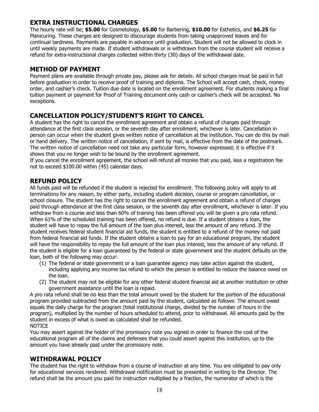## **EXTRA INSTRUCTIONAL CHARGES**

The hourly rate will be; **\$5.00** for Cosmetology, **\$5.00** for Barbering, **\$10.00** for Esthetics, and **\$6.25** for Manicuring. These charges are designed to discourage students from taking unapproved leaves and for continual tardiness. Payments are payable in advance until graduation. Student will not be allowed to clock in until weekly payments are made. If student withdrawals or is withdrawn from the course student will receive a refund for extra-instructional charges collected within thirty (30) days of the withdrawal date.

## **METHOD OF PAYMENT**

Payment plans are available through private pay, please ask for details. All school charges must be paid in full before graduation in order to receive proof of training and diploma. The School will accept cash, check, money order, and cashier's check. Tuition due date is located on the enrollment agreement. For students making a final tuition payment or payment for Proof of Training document only cash or cashier's check will be accepted. No exceptions.

## **CANCELLATION POLICY/STUDENT'S RIGHT TO CANCEL**

A student has the right to cancel the enrollment agreement and obtain a refund of charges paid through attendance at the first class session, or the seventh day after enrollment, whichever is later. Cancellation in person can occur when the student gives written notice of cancellation at the institution. You can do this by mail or hand delivery. The written notice of cancellation, if sent by mail, is effective from the date of the postmark. The written notice of cancellation need not take any particular form, however expressed; it is effective if it shows that you no longer wish to be bound by the enrollment agreement.

If you cancel the enrollment agreement, the school will refund all monies that you paid, less a registration fee not to exceed \$100.00 within (45) calendar days.

## **REFUND POLICY**

All funds paid will be refunded if the student is rejected for enrollment. The following policy will apply to all terminations for any reason, by either party, including student decision, course or program cancellation, or school closure. The student has the right to cancel the enrollment agreement and obtain a refund of charges paid through attendance at the first class session, or the seventh day after enrollment, whichever is later. If you withdraw from a course and less than 60% of training has been offered you will be given a pro rata refund. When 61% of the scheduled training has been offered, no refund is due. If a student obtains a loan, the student will have to repay the full amount of the loan plus interest, less the amount of any refund. If the student receives federal student financial aid funds, the student is entitled to a refund of the money not paid from federal financial aid funds. If the student obtains a loan to pay for an educational program, the student will have the responsibility to repay the full amount of the loan plus interest, less the amount of any refund. If the student is eligible for a loan guaranteed by the federal or state government and the student defaults on the loan, both of the following may occur:

- (1) The federal or state government or a loan guarantee agency may take action against the student, including applying any income tax refund to which the person is entitled to reduce the balance owed on the loan.
- (2) The student may not be eligible for any other federal student financial aid at another institution or other government assistance until the loan is repaid.

A pro rata refund shall be no less than the total amount owed by the student for the portion of the educational program provided subtracted from the amount paid by the student, calculated as follows: The amount owed equals the daily charge for the program (total institutional charge, divided by the number of hours in the program), multiplied by the number of hours scheduled to attend, prior to withdrawal. All amounts paid by the student in excess of what is owed as calculated shall be refunded. NOTICE

You may assert against the holder of the promissory note you signed in order to finance the cost of the educational program all of the claims and defenses that you could assert against this institution, up to the amount you have already paid under the promissory note.

## **WITHDRAWAL POLICY**

The student has the right to withdraw from a course of instruction at any time. You are obligated to pay only for educational services rendered. Withdrawal notification must be presented in writing to the Director. The refund shall be the amount you paid for instruction multiplied by a fraction, the numerator of which is the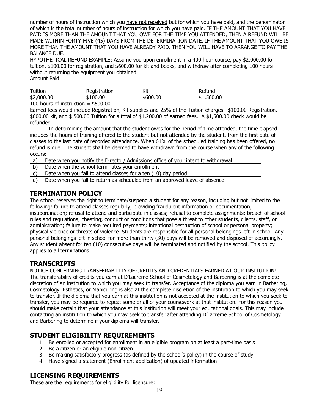number of hours of instruction which you have not received but for which you have paid, and the denominator of which is the total number of hours of instruction for which you have paid. IF THE AMOUNT THAT YOU HAVE PAID IS MORE THAN THE AMOUNT THAT YOU OWE FOR THE TIME YOU ATTENDED, THEN A REFUND WILL BE MADE WITHIN FORTY-FIVE (45) DAYS FROM THE DETERMINATION DATE. IF THE AMOUNT THAT YOU OWE IS MORE THAN THE AMOUNT THAT YOU HAVE ALREADY PAID, THEN YOU WILL HAVE TO ARRANGE TO PAY THE BALANCE DUE.

HYPOTHETICAL REFUND EXAMPLE: Assume you upon enrollment in a 400 hour course, pay \$2,000.00 for tuition, \$100.00 for registration, and \$600.00 for kit and books, and withdraw after completing 100 hours without returning the equipment you obtained. Amount Paid:

| Tuition    | Registration                          | Kit      | Refund     |
|------------|---------------------------------------|----------|------------|
| \$2,000.00 | \$100.00                              | \$600.00 | \$1,500.00 |
|            | 100 hours of instruction $=$ \$500.00 |          |            |

Earned fees would include Registration, Kit supplies and 25% of the Tuition charges. \$100.00 Registration, \$600.00 kit, and \$ 500.00 Tuition for a total of \$1,200.00 of earned fees. A \$1,500.00 check would be refunded.

In determining the amount that the student owes for the period of time attended, the time elapsed includes the hours of training offered to the student but not attended by the student, from the first date of classes to the last date of recorded attendance. When 61% of the scheduled training has been offered, no refund is due. The student shall be deemed to have withdrawn from the course when any of the following occurs:

| a`           | Date when you notify the Director/ Admissions office of your intent to withdrawal |
|--------------|-----------------------------------------------------------------------------------|
| b)           | Date when the school terminates your enrollment                                   |
| $\mathsf{C}$ | Date when you fail to attend classes for a ten (10) day period                    |
| d)           | Date when you fail to return as scheduled from an approved leave of absence       |

## **TERMINATION POLICY**

The school reserves the right to terminate/suspend a student for any reason, including but not limited to the following: failure to attend classes regularly; providing fraudulent information or documentation; insubordination; refusal to attend and participate in classes; refusal to complete assignments; breach of school rules and regulations; cheating; conduct or conditions that pose a threat to other students, clients, staff, or administration; failure to make required payments; intentional destruction of school or personal property; physical violence or threats of violence. Students are responsible for all personal belongings left in school. Any personal belongings left in school for more than thirty (30) days will be removed and disposed of accordingly. Any student absent for ten (10) consecutive days will be terminated and notified by the school. This policy applies to all terminations.

## **TRANSCRIPTS**

NOTICE CONCERNING TRANSFERABILITY OF CREDITS AND CREDENTIALS EARNED AT OUR INSITUTION: The transferability of credits you earn at D'Lacreme School of Cosmetology and Barbering is at the complete discretion of an institution to which you may seek to transfer. Acceptance of the diploma you earn in Barbering, Cosmetology, Esthetics, or Manicuring is also at the complete discretion of the institution to which you may seek to transfer. If the diploma that you earn at this institution is not accepted at the institution to which you seek to transfer, you may be required to repeat some or all of your coursework at that institution. For this reason you should make certain that your attendance at this institution will meet your educational goals. This may include contacting an institution to which you may seek to transfer after attending D'Lacreme School of Cosmetology and Barbering to determine if your diploma will transfer.

## **STUDENT ELIGIBILITY REQUIREMENTS**

- 1. Be enrolled or accepted for enrollment in an eligible program on at least a part-time basis
- 2. Be a citizen or an eligible non-citizen
- 3. Be making satisfactory progress (as defined by the school's policy) in the course of study
- 4. Have signed a statement (Enrollment application) of updated information

## **LICENSING REQUIREMENTS**

These are the requirements for eligibility for licensure: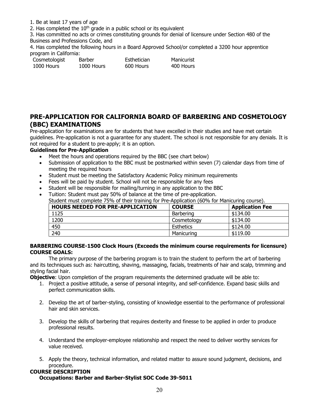1. Be at least 17 years of age

2. Has completed the  $10<sup>th</sup>$  grade in a public school or its equivalent

3. Has committed no acts or crimes constituting grounds for denial of licensure under Section 480 of the Business and Professions Code, and

4. Has completed the following hours in a Board Approved School/or completed a 3200 hour apprentice program in California:

| Cosmetologist | Barber     | Esthetician | Manicurist |
|---------------|------------|-------------|------------|
| 1000 Hours    | 1000 Hours | 600 Hours   | 400 Hours  |

## **PRE-APPLICATION FOR CALIFORNIA BOARD OF BARBERING AND COSMETOLOGY (BBC) EXAMINATIONS**

Pre-application for examinations are for students that have excelled in their studies and have met certain guidelines. Pre-application is not a guarantee for any student. The school is not responsible for any denials. It is not required for a student to pre-apply; it is an option.

#### **Guidelines for Pre-Application**

- Meet the hours and operations required by the BBC (see chart below)
- Submission of application to the BBC must be postmarked within seven (7) calendar days from time of meeting the required hours
- Student must be meeting the Satisfactory Academic Policy minimum requirements
- Fees will be paid by student. School will not be responsible for any fees
- Student will be responsible for mailing/turning in any application to the BBC
- Tuition: Student must pay 50% of balance at the time of pre-application. Student must complete 75% of their training for Pre-Application (60% for Manicuring course).

| 3000010 1110St Complete 7370 OF their training for Pre-Application (0070 for Maniculing Course). |               |                        |  |
|--------------------------------------------------------------------------------------------------|---------------|------------------------|--|
| <b>HOURS NEEDED FOR PRE-APPLICATION</b>                                                          | <b>COURSE</b> | <b>Application Fee</b> |  |
| 1125                                                                                             | Barbering     | \$134.00               |  |
| 1200                                                                                             | Cosmetology   | \$134.00               |  |
| 450                                                                                              | Esthetics     | \$124.00               |  |
| 240                                                                                              | Manicuring    | \$119.00               |  |

#### **BARBERING COURSE-1500 Clock Hours (Exceeds the minimum course requirements for licensure) COURSE GOALS:**

The primary purpose of the barbering program is to train the student to perform the art of barbering and its techniques such as: haircutting, shaving, massaging, facials, treatments of hair and scalp, trimming and styling facial hair.

**Objective**: Upon completion of the program requirements the determined graduate will be able to:

- 1. Project a positive attitude, a sense of personal integrity, and self-confidence. Expand basic skills and perfect communication skills.
- 2. Develop the art of barber-styling, consisting of knowledge essential to the performance of professional hair and skin services.
- 3. Develop the skills of barbering that requires dexterity and finesse to be applied in order to produce professional results.
- 4. Understand the employer-employee relationship and respect the need to deliver worthy services for value received.
- 5. Apply the theory, technical information, and related matter to assure sound judgment, decisions, and procedure.

#### **COURSE DESCRIPTION**

#### **Occupations: Barber and Barber-Stylist SOC Code 39-5011**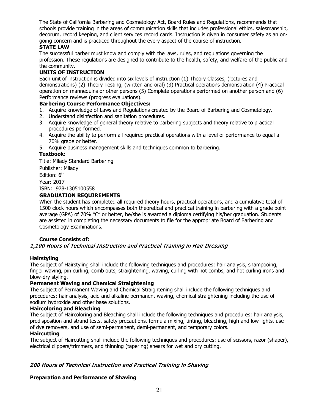The State of California Barbering and Cosmetology Act, Board Rules and Regulations, recommends that schools provide training in the areas of communication skills that includes professional ethics, salesmanship, decorum, record keeping, and client services record cards. Instruction is given in consumer safety as an ongoing concern and is practiced throughout the every aspect of the course of instruction.

#### **STATE LAW**

The successful barber must know and comply with the laws, rules, and regulations governing the profession. These regulations are designed to contribute to the health, safety, and welfare of the public and the community.

#### **UNITS OF INSTRUCTION**

Each unit of instruction is divided into six levels of instruction (1) Theory Classes, (lectures and demonstrations) (2) Theory Testing, (written and oral) (3) Practical operations demonstration (4) Practical operation on mannequins or other persons (5) Complete operations performed on another person and (6) Performance reviews (progress evaluations).

#### **Barbering Course Performance Objectives:**

- 1. Acquire knowledge of Laws and Regulations created by the Board of Barbering and Cosmetology.
- 2. Understand disinfection and sanitation procedures.
- 3. Acquire knowledge of general theory relative to barbering subjects and theory relative to practical procedures performed.
- 4. Acquire the ability to perform all required practical operations with a level of performance to equal a 70% grade or better.
- 5. Acquire business management skills and techniques common to barbering.

#### **Textbook:**

Title: Milady Standard Barbering

Publisher: Milady

Edition: 6<sup>th</sup>

Year: 2017 ISBN: 978-1305100558

## **GRADUATION REQUIREMENTS**

When the student has completed all required theory hours, practical operations, and a cumulative total of 1500 clock hours which encompasses both theoretical and practical training in barbering with a grade point average (GPA) of 70% "C" or better, he/she is awarded a diploma certifying his/her graduation. Students are assisted in completing the necessary documents to file for the appropriate Board of Barbering and Cosmetology Examinations.

#### **Course Consists of:**  1,100 Hours of Technical Instruction and Practical Training in Hair Dressing

#### **Hairstyling**

The subject of Hairstyling shall include the following techniques and procedures: hair analysis, shampooing, finger waving, pin curling, comb outs, straightening, waving, curling with hot combs, and hot curling irons and blow-dry styling.

#### **Permanent Waving and Chemical Straightening**

The subject of Permanent Waving and Chemical Straightening shall include the following techniques and procedures: hair analysis, acid and alkaline permanent waving, chemical straightening including the use of sodium hydroxide and other base solutions.

## **Haircoloring and Bleaching**

The subject of Haircoloring and Bleaching shall include the following techniques and procedures: hair analysis, predisposition and strand tests, safety precautions, formula mixing, tinting, bleaching, high and low lights, use of dye removers, and use of semi-permanent, demi-permanent, and temporary colors.

#### **Haircutting**

The subject of Haircutting shall include the following techniques and procedures: use of scissors, razor (shaper), electrical clippers/trimmers, and thinning (tapering) shears for wet and dry cutting.

## 200 Hours of Technical Instruction and Practical Training in Shaving

#### **Preparation and Performance of Shaving**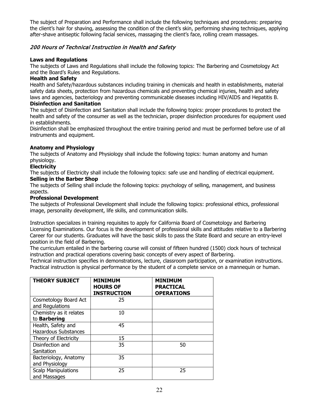The subject of Preparation and Performance shall include the following techniques and procedures: preparing the client's hair for shaving, assessing the condition of the client's skin, performing shaving techniques, applying after-shave antiseptic following facial services, massaging the client's face, rolling cream massages.

#### 200 Hours of Technical Instruction in Health and Safety

#### **Laws and Regulations**

The subjects of Laws and Regulations shall include the following topics: The Barbering and Cosmetology Act and the Board's Rules and Regulations.

#### **Health and Safety**

Health and Safety/hazardous substances including training in chemicals and health in establishments, material safety data sheets, protection from hazardous chemicals and preventing chemical injuries, health and safety laws and agencies, bacteriology and preventing communicable diseases including HIV/AIDS and Hepatitis B.

#### **Disinfection and Sanitation**

The subject of Disinfection and Sanitation shall include the following topics: proper procedures to protect the health and safety of the consumer as well as the technician, proper disinfection procedures for equipment used in establishments.

Disinfection shall be emphasized throughout the entire training period and must be performed before use of all instruments and equipment.

#### **Anatomy and Physiology**

The subjects of Anatomy and Physiology shall include the following topics: human anatomy and human physiology.

#### **Electricity**

The subjects of Electricity shall include the following topics: safe use and handling of electrical equipment. **Selling in the Barber Shop**

The subjects of Selling shall include the following topics: psychology of selling, management, and business aspects.

#### **Professional Development**

The subjects of Professional Development shall include the following topics: professional ethics, professional image, personality development, life skills, and communication skills.

Instruction specializes in training requisites to apply for California Board of Cosmetology and Barbering Licensing Examinations. Our focus is the development of professional skills and attitudes relative to a Barbering Career for our students. Graduates will have the basic skills to pass the State Board and secure an entry-level position in the field of Barbering.

The curriculum entailed in the barbering course will consist of fifteen hundred (1500) clock hours of technical instruction and practical operations covering basic concepts of every aspect of Barbering.

Technical instruction specifies in demonstrations, lecture, classroom participation, or examination instructions. Practical instruction is physical performance by the student of a complete service on a mannequin or human.

| <b>THEORY SUBJECT</b>                             | <b>MINIMUM</b><br><b>HOURS OF</b><br><b>INSTRUCTION</b> | <b>MINIMUM</b><br><b>PRACTICAL</b><br><b>OPERATIONS</b> |
|---------------------------------------------------|---------------------------------------------------------|---------------------------------------------------------|
| Cosmetology Board Act<br>and Regulations          | 25                                                      |                                                         |
| Chemistry as it relates<br>to <b>Barbering</b>    | 10                                                      |                                                         |
| Health, Safety and<br><b>Hazardous Substances</b> | 45                                                      |                                                         |
| Theory of Electricity                             | 15                                                      |                                                         |
| Disinfection and<br>Sanitation                    | 35                                                      | 50                                                      |
| Bacteriology, Anatomy<br>and Physiology           | 35                                                      |                                                         |
| <b>Scalp Manipulations</b><br>and Massages        | 25                                                      | 25                                                      |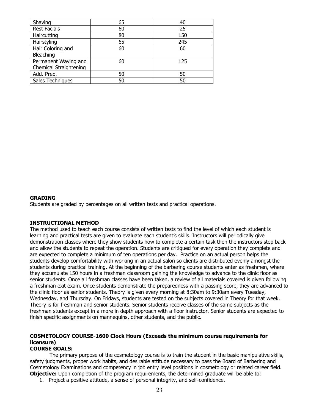| 65 | 40  |
|----|-----|
| 60 | 25  |
| 80 | 150 |
| 65 | 245 |
| 60 | 60  |
|    |     |
| 60 | 125 |
|    |     |
| 50 | 50  |
| 50 | 50  |
|    |     |

#### **GRADING**

Students are graded by percentages on all written tests and practical operations.

#### **INSTRUCTIONAL METHOD**

The method used to teach each course consists of written tests to find the level of which each student is learning and practical tests are given to evaluate each student's skills. Instructors will periodically give demonstration classes where they show students how to complete a certain task then the instructors step back and allow the students to repeat the operation. Students are critiqued for every operation they complete and are expected to complete a minimum of ten operations per day. Practice on an actual person helps the students develop comfortability with working in an actual salon so clients are distributed evenly amongst the students during practical training. At the beginning of the barbering course students enter as freshmen, where they accumulate 150 hours in a freshman classroom gaining the knowledge to advance to the clinic floor as senior students. Once all freshman classes have been taken, a review of all materials covered is given following a freshman exit exam. Once students demonstrate the preparedness with a passing score, they are advanced to the clinic floor as senior students. Theory is given every morning at 8:30am to 9:30am every Tuesday, Wednesday, and Thursday. On Fridays, students are tested on the subjects covered in Theory for that week. Theory is for freshman and senior students. Senior students receive classes of the same subjects as the freshman students except in a more in depth approach with a floor instructor. Senior students are expected to finish specific assignments on mannequins, other students, and the public.

## **COSMETOLOGY COURSE-1600 Clock Hours (Exceeds the minimum course requirements for licensure)**

#### **COURSE GOALS:**

 The primary purpose of the cosmetology course is to train the student in the basic manipulative skills, safety judgments, proper work habits, and desirable attitude necessary to pass the Board of Barbering and Cosmetology Examinations and competency in job entry level positions in cosmetology or related career field. **Objective:** Upon completion of the program requirements, the determined graduate will be able to:

1. Project a positive attitude, a sense of personal integrity, and self-confidence.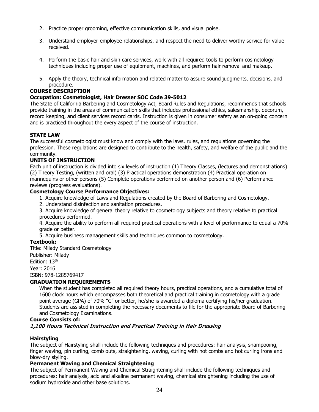- 2. Practice proper grooming, effective communication skills, and visual poise.
- 3. Understand employer-employee relationships, and respect the need to deliver worthy service for value received.
- 4. Perform the basic hair and skin care services, work with all required tools to perform cosmetology techniques including proper use of equipment, machines, and perform hair removal and makeup.
- 5. Apply the theory, technical information and related matter to assure sound judgments, decisions, and procedure.

#### **COURSE DESCRIPTION**

#### **Occupation: Cosmetologist, Hair Dresser SOC Code 39-5012**

The State of California Barbering and Cosmetology Act, Board Rules and Regulations, recommends that schools provide training in the areas of communication skills that includes professional ethics, salesmanship, decorum, record keeping, and client services record cards. Instruction is given in consumer safety as an on-going concern and is practiced throughout the every aspect of the course of instruction.

#### **STATE LAW**

The successful cosmetologist must know and comply with the laws, rules, and regulations governing the profession. These regulations are designed to contribute to the health, safety, and welfare of the public and the community.

#### **UNITS OF INSTRUCTION**

Each unit of instruction is divided into six levels of instruction (1) Theory Classes, (lectures and demonstrations) (2) Theory Testing, (written and oral) (3) Practical operations demonstration (4) Practical operation on mannequins or other persons (5) Complete operations performed on another person and (6) Performance reviews (progress evaluations).

#### **Cosmetology Course Performance Objectives:**

1. Acquire knowledge of Laws and Regulations created by the Board of Barbering and Cosmetology.

2. Understand disinfection and sanitation procedures.

3. Acquire knowledge of general theory relative to cosmetology subjects and theory relative to practical procedures performed.

4. Acquire the ability to perform all required practical operations with a level of performance to equal a 70% grade or better.

5. Acquire business management skills and techniques common to cosmetology.

#### **Textbook:**

Title: Milady Standard Cosmetology

Publisher: Milady Edition: 13<sup>th</sup>

Year: 2016 ISBN: 978-1285769417

#### **GRADUATION REQUIREMENTS**

When the student has completed all required theory hours, practical operations, and a cumulative total of 1600 clock hours which encompasses both theoretical and practical training in cosmetology with a grade point average (GPA) of 70% "C" or better, he/she is awarded a diploma certifying his/her graduation. Students are assisted in completing the necessary documents to file for the appropriate Board of Barbering and Cosmetology Examinations.

#### **Course Consists of:**

#### 1,100 Hours Technical Instruction and Practical Training in Hair Dressing

#### **Hairstyling**

The subject of Hairstyling shall include the following techniques and procedures: hair analysis, shampooing, finger waving, pin curling, comb outs, straightening, waving, curling with hot combs and hot curling irons and blow-dry styling.

#### **Permanent Waving and Chemical Straightening**

The subject of Permanent Waving and Chemical Straightening shall include the following techniques and procedures: hair analysis, acid and alkaline permanent waving, chemical straightening including the use of sodium hydroxide and other base solutions.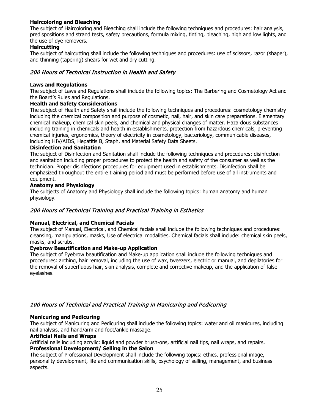#### **Haircoloring and Bleaching**

The subject of Haircoloring and Bleaching shall include the following techniques and procedures: hair analysis, predispositions and strand tests, safety precautions, formula mixing, tinting, bleaching, high and low lights, and the use of dye removers.

#### **Haircutting**

The subject of haircutting shall include the following techniques and procedures: use of scissors, razor (shaper), and thinning (tapering) shears for wet and dry cutting.

#### 200 Hours of Technical Instruction in Health and Safety

#### **Laws and Regulations**

The subject of Laws and Regulations shall include the following topics: The Barbering and Cosmetology Act and the Board's Rules and Regulations.

#### **Health and Safety Considerations**

The subject of Health and Safety shall include the following techniques and procedures: cosmetology chemistry including the chemical composition and purpose of cosmetic, nail, hair, and skin care preparations. Elementary chemical makeup, chemical skin peels, and chemical and physical changes of matter. Hazardous substances including training in chemicals and health in establishments, protection from hazardous chemicals, preventing chemical injuries, ergonomics, theory of electricity in cosmetology, bacteriology, communicable diseases, including HIV/AIDS, Hepatitis B, Staph, and Material Safety Data Sheets.

#### **Disinfection and Sanitation**

The subject of Disinfection and Sanitation shall include the following techniques and procedures: disinfection and sanitation including proper procedures to protect the health and safety of the consumer as well as the technician. Proper disinfections procedures for equipment used in establishments. Disinfection shall be emphasized throughout the entire training period and must be performed before use of all instruments and equipment.

#### **Anatomy and Physiology**

The subjects of Anatomy and Physiology shall include the following topics: human anatomy and human physiology.

#### 200 Hours of Technical Training and Practical Training in Esthetics

#### **Manual, Electrical, and Chemical Facials**

The subject of Manual, Electrical, and Chemical facials shall include the following techniques and procedures: cleansing, manipulations, masks, Use of electrical modalities. Chemical facials shall include: chemical skin peels, masks, and scrubs.

#### **Eyebrow Beautification and Make-up Application**

The subject of Eyebrow beautification and Make-up application shall include the following techniques and procedures: arching, hair removal, including the use of wax, tweezers, electric or manual, and depilatories for the removal of superfluous hair, skin analysis, complete and corrective makeup, and the application of false eyelashes.

#### 100 Hours of Technical and Practical Training in Manicuring and Pedicuring

#### **Manicuring and Pedicuring**

The subject of Manicuring and Pedicuring shall include the following topics: water and oil manicures, including nail analysis, and hand/arm and foot/ankle massage.

#### **Artificial Nails and Wraps**

Artificial nails including acrylic: liquid and powder brush-ons, artificial nail tips, nail wraps, and repairs. **Professional Development/ Selling in the Salon**

The subject of Professional Development shall include the following topics: ethics, professional image, personality development, life and communication skills, psychology of selling, management, and business aspects.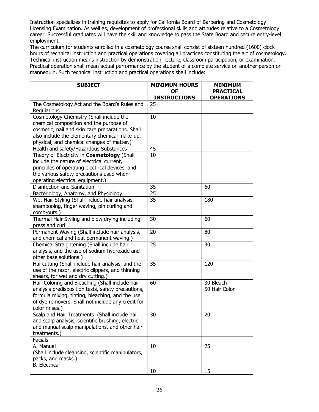Instruction specializes in training requisites to apply for California Board of Barbering and Cosmetology Licensing Examination. As well as, development of professional skills and attitudes relative to a Cosmetology career. Successful graduates will have the skill and knowledge to pass the State Board and secure entry-level employment.

The curriculum for students enrolled in a cosmetology course shall consist of sixteen hundred (1600) clock hours of technical instruction and practical operations covering all practices constituting the art of cosmetology. Technical instruction means instruction by demonstration, lecture, classroom participation, or examination. Practical operation shall mean actual performance by the student of a complete service on another person or mannequin. Such technical instruction and practical operations shall include:

| <b>SUBJECT</b>                                     | <b>MINIMUM HOURS</b><br><b>OF</b> | <b>MINIMUM</b><br><b>PRACTICAL</b> |
|----------------------------------------------------|-----------------------------------|------------------------------------|
|                                                    | <b>INSTRUCTIONS</b>               | <b>OPERATIONS</b>                  |
| The Cosmetology Act and the Board's Rules and      | 25                                |                                    |
| Regulations                                        |                                   |                                    |
| Cosmetology Chemistry (Shall include the           | 10                                |                                    |
| chemical composition and the purpose of            |                                   |                                    |
| cosmetic, nail and skin care preparations. Shall   |                                   |                                    |
| also include the elementary chemical make-up,      |                                   |                                    |
| physical, and chemical changes of matter.)         |                                   |                                    |
| Health and safety/Hazardous Substances             | 45                                |                                    |
| Theory of Electricity in Cosmetology (Shall        | 10                                |                                    |
| include the nature of electrical current,          |                                   |                                    |
| principles of operating electrical devices, and    |                                   |                                    |
| the various safety precautions used when           |                                   |                                    |
| operating electrical equipment.)                   |                                   |                                    |
| Disinfection and Sanitation                        | 35                                | 60                                 |
| Bacteriology, Anatomy, and Physiology.             | 25                                |                                    |
| Wet Hair Styling (Shall include hair analysis,     | 35                                | 180                                |
| shampooing, finger waving, pin curling and         |                                   |                                    |
| comb-outs.)                                        |                                   |                                    |
| Thermal Hair Styling and blow drying including     | 30                                | 60                                 |
| press and curl                                     |                                   |                                    |
| Permanent Waving (Shall include hair analysis,     | 20                                | 80                                 |
| and chemical and heat permanent waving.)           |                                   |                                    |
| Chemical Straightening (Shall include hair         | 25                                | 30                                 |
| analysis, and the use of sodium hydroxide and      |                                   |                                    |
| other base solutions.)                             |                                   |                                    |
| Haircutting (Shall include hair analysis, and the  | 35                                | 120                                |
| use of the razor, electric clippers, and thinning  |                                   |                                    |
| shears, for wet and dry cutting.)                  |                                   |                                    |
| Hair Coloring and Bleaching (Shall include hair    | 60                                | 30 Bleach                          |
| analysis predisposition tests, safety precautions, |                                   | 50 Hair Color                      |
| formula mixing, tinting, bleaching, and the use    |                                   |                                    |
| of dye removers. Shall not include any credit for  |                                   |                                    |
| color rinses.)                                     |                                   |                                    |
| Scalp and Hair Treatments. (Shall include hair     | 30                                | 20                                 |
| and scalp analysis, scientific brushing, electric  |                                   |                                    |
| and manual scalp manipulations, and other hair     |                                   |                                    |
| treatments.)                                       |                                   |                                    |
| Facials                                            |                                   |                                    |
| A. Manual                                          | 10                                | 25                                 |
| (Shall include cleansing, scientific manipulators, |                                   |                                    |
| packs, and masks.)                                 |                                   |                                    |
| <b>B.</b> Electrical                               |                                   |                                    |
|                                                    | 10                                | 15                                 |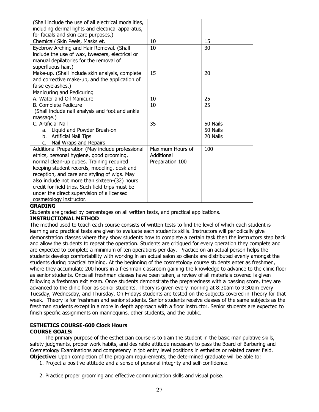| (Shall include the use of all electrical modalities,<br>including dermal lights and electrical apparatus,<br>for facials and skin care purposes.)                                                                                                                                                                                                                                                                      |                                                   |                                  |
|------------------------------------------------------------------------------------------------------------------------------------------------------------------------------------------------------------------------------------------------------------------------------------------------------------------------------------------------------------------------------------------------------------------------|---------------------------------------------------|----------------------------------|
| Chemical/ Skin Peels, Masks et.                                                                                                                                                                                                                                                                                                                                                                                        | 10                                                | 15                               |
| Eyebrow Arching and Hair Removal. (Shall<br>include the use of wax, tweezers, electrical or<br>manual depilatories for the removal of<br>superfluous hair.)                                                                                                                                                                                                                                                            | 10                                                | 30                               |
| Make-up. (Shall include skin analysis, complete<br>and corrective make-up, and the application of<br>false eyelashes.)                                                                                                                                                                                                                                                                                                 | 15                                                | 20                               |
| Manicuring and Pedicuring<br>A. Water and Oil Manicure<br><b>B. Complete Pedicure</b><br>(Shall include nail analysis and foot and ankle<br>massage.)                                                                                                                                                                                                                                                                  | 10<br>10                                          | 25<br>25                         |
| C. Artificial Nail<br>a. Liquid and Powder Brush-on<br>b. Artificial Nail Tips<br>Nail Wraps and Repairs<br>$C_{1}$                                                                                                                                                                                                                                                                                                    | 35                                                | 50 Nails<br>50 Nails<br>20 Nails |
| Additional Preparation (May include professional<br>ethics, personal hygiene, good grooming,<br>normal clean-up duties. Training required<br>keeping student records, modeling, desk and<br>reception, and care and styling of wigs. May<br>also include not more than sixteen-(32) hours<br>credit for field trips. Such field trips must be<br>under the direct supervision of a licensed<br>cosmetology instructor. | Maximum Hours of<br>Additional<br>Preparation 100 | 100                              |

#### **GRADING**

Students are graded by percentages on all written tests, and practical applications.

#### **INSTRUCTIONAL METHOD**

The method used to teach each course consists of written tests to find the level of which each student is learning and practical tests are given to evaluate each student's skills. Instructors will periodically give demonstration classes where they show students how to complete a certain task then the instructors step back and allow the students to repeat the operation. Students are critiqued for every operation they complete and are expected to complete a minimum of ten operations per day. Practice on an actual person helps the students develop comfortability with working in an actual salon so clients are distributed evenly amongst the students during practical training. At the beginning of the cosmetology course students enter as freshmen, where they accumulate 200 hours in a freshman classroom gaining the knowledge to advance to the clinic floor as senior students. Once all freshman classes have been taken, a review of all materials covered is given following a freshman exit exam. Once students demonstrate the preparedness with a passing score, they are advanced to the clinic floor as senior students. Theory is given every morning at 8:30am to 9:30am every Tuesday, Wednesday, and Thursday. On Fridays students are tested on the subjects covered in Theory for that week. Theory is for freshman and senior students. Senior students receive classes of the same subjects as the freshman students except in a more in depth approach with a floor instructor. Senior students are expected to finish specific assignments on mannequins, other students, and the public.

#### **ESTHETICS COURSE-600 Clock Hours COURSE GOALS:**

 The primary purpose of the esthetician course is to train the student in the basic manipulative skills, safety judgments, proper work habits, and desirable attitude necessary to pass the Board of Barbering and Cosmetology Examinations and competency in job entry level positions in esthetics or related career field. **Objective:** Upon completion of the program requirements, the determined graduate will be able to:

- 1. Project a positive attitude and a sense of personal integrity and self-confidence.
- 2. Practice proper grooming and effective communication skills and visual poise.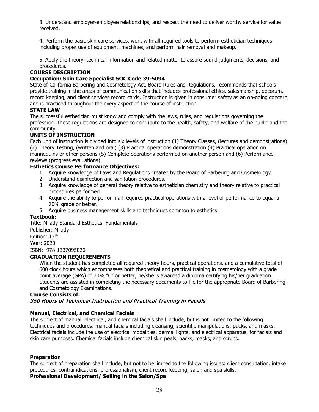3. Understand employer-employee relationships, and respect the need to deliver worthy service for value received.

4. Perform the basic skin care services, work with all required tools to perform esthetician techniques including proper use of equipment, machines, and perform hair removal and makeup.

5. Apply the theory, technical information and related matter to assure sound judgments, decisions, and procedures.

#### **COURSE DESCRIPTION**

#### **Occupation: Skin Care Specialist SOC Code 39-5094**

State of California Barbering and Cosmetology Act, Board Rules and Regulations, recommends that schools provide training in the areas of communication skills that includes professional ethics, salesmanship, decorum, record keeping, and client services record cards. Instruction is given in consumer safety as an on-going concern and is practiced throughout the every aspect of the course of instruction.

#### **STATE LAW**

The successful esthetician must know and comply with the laws, rules, and regulations governing the profession. These regulations are designed to contribute to the health, safety, and welfare of the public and the community.

#### **UNITS OF INSTRUCTION**

Each unit of instruction is divided into six levels of instruction (1) Theory Classes, (lectures and demonstrations) (2) Theory Testing, (written and oral) (3) Practical operations demonstration (4) Practical operation on mannequins or other persons (5) Complete operations performed on another person and (6) Performance reviews (progress evaluations).

#### **Esthetics Course Performance Objectives:**

- 1. Acquire knowledge of Laws and Regulations created by the Board of Barbering and Cosmetology.
- 2. Understand disinfection and sanitation procedures.
- 3. Acquire knowledge of general theory relative to esthetician chemistry and theory relative to practical procedures performed.
- 4. Acquire the ability to perform all required practical operations with a level of performance to equal a 70% grade or better.
- 5. Acquire business management skills and techniques common to esthetics.

#### **Textbook:**

Title: Milady Standard Esthetics: Fundamentals Publisher: Milady Edition: 12th Year: 2020

ISBN: 978-1337095020

#### **GRADUATION REQUIREMENTS**

When the student has completed all required theory hours, practical operations, and a cumulative total of 600 clock hours which encompasses both theoretical and practical training in cosmetology with a grade point average (GPA) of 70% "C" or better, he/she is awarded a diploma certifying his/her graduation. Students are assisted in completing the necessary documents to file for the appropriate Board of Barbering and Cosmetology Examinations.

#### **Course Consists of:**

#### 350 Hours of Technical Instruction and Practical Training in Facials

#### **Manual, Electrical, and Chemical Facials**

The subject of manual, electrical, and chemical facials shall include, but is not limited to the following techniques and procedures: manual facials including cleansing, scientific manipulations, packs, and masks. Electrical facials include the use of electrical modalities, dermal lights, and electrical apparatus, for facials and skin care purposes. Chemical facials include chemical skin peels, packs, masks, and scrubs.

#### **Preparation**

The subject of preparation shall include, but not to be limited to the following issues: client consultation, intake procedures, contraindications, professionalism, client record keeping, salon and spa skills. **Professional Development/ Selling in the Salon/Spa**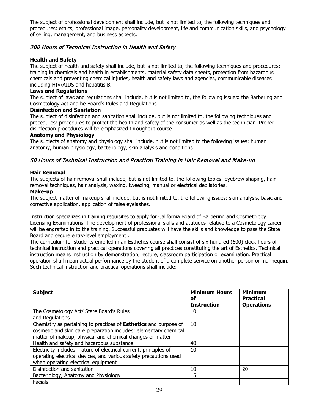The subject of professional development shall include, but is not limited to, the following techniques and procedures: ethics, professional image, personality development, life and communication skills, and psychology of selling, management, and business aspects.

### 200 Hours of Technical Instruction in Health and Safety

#### **Health and Safety**

The subject of health and safety shall include, but is not limited to, the following techniques and procedures: training in chemicals and health in establishments, material safety data sheets, protection from hazardous chemicals and preventing chemical injuries, health and safety laws and agencies, communicable diseases including HIV/AIDS and hepatitis B.

#### **Laws and Regulations**

The subject of laws and regulations shall include, but is not limited to, the following issues: the Barbering and Cosmetology Act and he Board's Rules and Regulations.

#### **Disinfection and Sanitation**

The subject of disinfection and sanitation shall include, but is not limited to, the following techniques and procedures: procedures to protect the health and safety of the consumer as well as the technician. Proper disinfection procedures will be emphasized throughout course.

#### **Anatomy and Physiology**

The subjects of anatomy and physiology shall include, but is not limited to the following issues: human anatomy, human physiology, bacteriology, skin analysis and conditions.

### 50 Hours of Technical Instruction and Practical Training in Hair Removal and Make-up

#### **Hair Removal**

The subjects of hair removal shall include, but is not limited to, the following topics: eyebrow shaping, hair removal techniques, hair analysis, waxing, tweezing, manual or electrical depilatories.

#### **Make-up**

The subject matter of makeup shall include, but is not limited to, the following issues: skin analysis, basic and corrective application, application of false eyelashes.

Instruction specializes in training requisites to apply for California Board of Barbering and Cosmetology Licensing Examinations. The development of professional skills and attitudes relative to a Cosmetology career will be engrafted in to the training. Successful graduates will have the skills and knowledge to pass the State Board and secure entry-level employment .

The curriculum for students enrolled in an Esthetics course shall consist of six hundred (600) clock hours of technical instruction and practical operations covering all practices constituting the art of Esthetics. Technical instruction means instruction by demonstration, lecture, classroom participation or examination. Practical operation shall mean actual performance by the student of a complete service on another person or mannequin. Such technical instruction and practical operations shall include:

| <b>Subject</b>                                                                                                                                                                                           | <b>Minimum Hours</b><br>οf<br><b>Instruction</b> | <b>Minimum</b><br><b>Practical</b><br><b>Operations</b> |
|----------------------------------------------------------------------------------------------------------------------------------------------------------------------------------------------------------|--------------------------------------------------|---------------------------------------------------------|
| The Cosmetology Act/ State Board's Rules                                                                                                                                                                 | 10                                               |                                                         |
| and Regulations                                                                                                                                                                                          |                                                  |                                                         |
| Chemistry as pertaining to practices of <b>Esthetics</b> and purpose of<br>cosmetic and skin care preparation includes: elementary chemical<br>matter of makeup, physical and chemical changes of matter | 10                                               |                                                         |
| Health and safety and hazardous substance                                                                                                                                                                | 40                                               |                                                         |
| Electricity includes: nature of electrical current, principles of<br>operating electrical devices, and various safety precautions used<br>when operating electrical equipment                            | 10                                               |                                                         |
| Disinfection and sanitation                                                                                                                                                                              | 10                                               | 20                                                      |
| Bacteriology, Anatomy and Physiology                                                                                                                                                                     | 15                                               |                                                         |
| Facials                                                                                                                                                                                                  |                                                  |                                                         |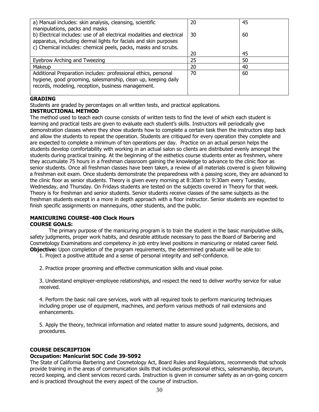| a) Manual includes: skin analysis, cleansing, scientific                | 20 | 45 |
|-------------------------------------------------------------------------|----|----|
| manipulations, packs and masks                                          |    |    |
| b) Electrical includes: use of all electrical modalities and electrical | 30 | 60 |
| apparatus, including dermal lights for facials and skin purposes        |    |    |
| c) Chemical includes: chemical peels, packs, masks and scrubs.          |    |    |
|                                                                         | 20 | 45 |
| Eyebrow Arching and Tweezing                                            | 25 | 50 |
| Makeup                                                                  | 20 | 40 |
| Additional Preparation includes: professional ethics, personal          | 70 | 60 |
| hygiene, good grooming, salesmanship, clean up, keeping daily           |    |    |
| records, modeling, reception, business management.                      |    |    |
|                                                                         |    |    |

#### **GRADING**

Students are graded by percentages on all written tests, and practical applications.

#### **INSTRUCTIONAL METHOD**

The method used to teach each course consists of written tests to find the level of which each student is learning and practical tests are given to evaluate each student's skills. Instructors will periodically give demonstration classes where they show students how to complete a certain task then the instructors step back and allow the students to repeat the operation. Students are critiqued for every operation they complete and are expected to complete a minimum of ten operations per day. Practice on an actual person helps the students develop comfortability with working in an actual salon so clients are distributed evenly amongst the students during practical training. At the beginning of the esthetics course students enter as freshmen, where they accumulate 75 hours in a freshman classroom gaining the knowledge to advance to the clinic floor as senior students. Once all freshman classes have been taken, a review of all materials covered is given following a freshman exit exam. Once students demonstrate the preparedness with a passing score, they are advanced to the clinic floor as senior students. Theory is given every morning at 8:30am to 9:30am every Tuesday, Wednesday, and Thursday. On Fridays students are tested on the subjects covered in Theory for that week. Theory is for freshman and senior students. Senior students receive classes of the same subjects as the freshman students except in a more in depth approach with a floor instructor. Senior students are expected to finish specific assignments on mannequins, other students, and the public.

## **MANICURING COURSE-400 Clock Hours**

#### **COURSE GOALS:**

The primary purpose of the manicuring program is to train the student in the basic manipulative skills, safety judgments, proper work habits, and desirable attitude necessary to pass the Board of Barbering and Cosmetology Examinations and competency in job entry level positions in manicuring or related career field. **Objective:** Upon completion of the program requirements, the determined graduate will be able to:

1. Project a positive attitude and a sense of personal integrity and self-confidence.

2. Practice proper grooming and effective communication skills and visual poise.

3. Understand employer-employee relationships, and respect the need to deliver worthy service for value received.

4. Perform the basic nail care services, work with all required tools to perform manicuring techniques including proper use of equipment, machines, and perform various methods of nail extensions and enhancements.

5. Apply the theory, technical information and related matter to assure sound judgments, decisions, and procedures.

#### **COURSE DESCRIPTION**

#### **Occupation: Manicurist SOC Code 39-5092**

The State of California Barbering and Cosmetology Act, Board Rules and Regulations, recommends that schools provide training in the areas of communication skills that includes professional ethics, salesmanship, decorum, record keeping, and client services record cards. Instruction is given in consumer safety as an on-going concern and is practiced throughout the every aspect of the course of instruction.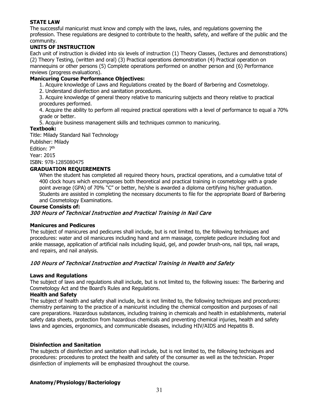#### **STATE LAW**

The successful manicurist must know and comply with the laws, rules, and regulations governing the profession. These regulations are designed to contribute to the health, safety, and welfare of the public and the community.

#### **UNITS OF INSTRUCTION**

Each unit of instruction is divided into six levels of instruction (1) Theory Classes, (lectures and demonstrations) (2) Theory Testing, (written and oral) (3) Practical operations demonstration (4) Practical operation on mannequins or other persons (5) Complete operations performed on another person and (6) Performance reviews (progress evaluations).

#### **Manicuring Course Performance Objectives:**

1. Acquire knowledge of Laws and Regulations created by the Board of Barbering and Cosmetology.

2. Understand disinfection and sanitation procedures.

3. Acquire knowledge of general theory relative to manicuring subjects and theory relative to practical procedures performed.

4. Acquire the ability to perform all required practical operations with a level of performance to equal a 70% grade or better.

5. Acquire business management skills and techniques common to manicuring.

#### **Textbook:**

Title: Milady Standard Nail Technology

Publisher: Milady

Edition: 7<sup>th</sup>

Year: 2015

ISBN: 978-1285080475

#### **GRADUATION REQUIREMENTS**

When the student has completed all required theory hours, practical operations, and a cumulative total of 400 clock hours which encompasses both theoretical and practical training in cosmetology with a grade point average (GPA) of 70% "C" or better, he/she is awarded a diploma certifying his/her graduation. Students are assisted in completing the necessary documents to file for the appropriate Board of Barbering and Cosmetology Examinations.

#### **Course Consists of:**

#### 300 Hours of Technical Instruction and Practical Training in Nail Care

#### **Manicures and Pedicures**

The subject of manicures and pedicures shall include, but is not limited to, the following techniques and procedures: water and oil manicures including hand and arm massage, complete pedicure including foot and ankle massage, application of artificial nails including liquid, gel, and powder brush-ons, nail tips, nail wraps, and repairs, and nail analysis.

#### 100 Hours of Technical Instruction and Practical Training in Health and Safety

#### **Laws and Regulations**

The subject of laws and regulations shall include, but is not limited to, the following issues: The Barbering and Cosmetology Act and the Board's Rules and Regulations.

#### **Health and Safety**

The subject of health and safety shall include, but is not limited to, the following techniques and procedures: chemistry pertaining to the practice of a manicurist including the chemical composition and purposes of nail care preparations. Hazardous substances, including training in chemicals and health in establishments, material safety data sheets, protection from hazardous chemicals and preventing chemical injuries, health and safety laws and agencies, ergonomics, and communicable diseases, including HIV/AIDS and Hepatitis B.

#### **Disinfection and Sanitation**

The subjects of disinfection and sanitation shall include, but is not limited to, the following techniques and procedures: procedures to protect the health and safety of the consumer as well as the technician. Proper disinfection of implements will be emphasized throughout the course.

#### **Anatomy/Physiology/Bacteriology**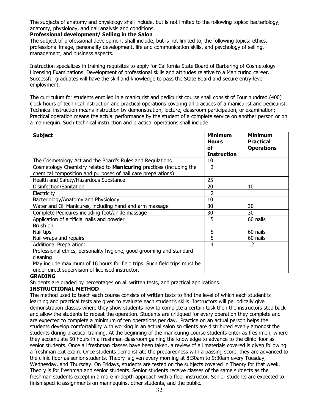The subjects of anatomy and physiology shall include, but is not limited to the following topics: bacteriology, anatomy, physiology, and nail analysis and conditions.

#### **Professional development/ Selling in the Salon**

The subject of professional development shall include, but is not limited to, the following topics: ethics, professional image, personality development, life and communication skills, and psychology of selling, management, and business aspects.

Instruction specializes in training requisites to apply for California State Board of Barbering of Cosmetology Licensing Examinations. Development of professional skills and attitudes relative to a Manicuring career. Successful graduates will have the skill and knowledge to pass the State Board and secure entry-level employment.

The curriculum for students enrolled in a manicurist and pedicurist course shall consist of Four hundred (400) clock hours of technical instruction and practical operations covering all practices of a manicurist and pedicurist. Technical instruction means instruction by demonstration, lecture, classroom participation, or examination; Practical operation means the actual performance by the student of a complete service on another person or on a mannequin. Such technical instruction and practical operations shall include:

| <b>Subject</b>                                                              | <b>Minimum</b><br><b>Hours</b><br><b>of</b><br><b>Instruction</b> | <b>Minimum</b><br><b>Practical</b><br><b>Operations</b> |
|-----------------------------------------------------------------------------|-------------------------------------------------------------------|---------------------------------------------------------|
| The Cosmetology Act and the Board's Rules and Regulations                   | 10                                                                |                                                         |
| Cosmetology Chemistry related to <b>Manicuring</b> practices (including the | $\overline{2}$                                                    |                                                         |
| chemical composition and purposes of nail care preparations)                |                                                                   |                                                         |
| Health and Safety/Hazardous Substance                                       | 25                                                                |                                                         |
| Disinfection/Sanitation                                                     | 20                                                                | 10                                                      |
| Electricity                                                                 | 2                                                                 |                                                         |
| Bacteriology/Anatomy and Physiology                                         | 10                                                                |                                                         |
| Water and Oil Manicures, including hand and arm massage                     | 30                                                                | 30                                                      |
| Complete Pedicures including foot/ankle massage                             | 30                                                                | 30                                                      |
| Application of artificial nails and powder                                  | 5                                                                 | 60 nails                                                |
| Brush on                                                                    |                                                                   |                                                         |
| Nail tips                                                                   | 5                                                                 | 60 nails                                                |
| Nail wraps and repairs                                                      | 5                                                                 | 60 nails                                                |
| <b>Additional Preparation:</b>                                              | 4                                                                 | 2                                                       |
| Professional ethics, personality hygiene, good grooming and standard        |                                                                   |                                                         |
| cleaning                                                                    |                                                                   |                                                         |
| May include maximum of 16 hours for field trips. Such field trips must be   |                                                                   |                                                         |
| under direct supervision of licensed instructor.                            |                                                                   |                                                         |

#### **GRADING**

Students are graded by percentages on all written tests, and practical applications.

#### **INSTRUCTIONAL METHOD**

The method used to teach each course consists of written tests to find the level of which each student is learning and practical tests are given to evaluate each student's skills. Instructors will periodically give demonstration classes where they show students how to complete a certain task then the instructors step back and allow the students to repeat the operation. Students are critiqued for every operation they complete and are expected to complete a minimum of ten operations per day. Practice on an actual person helps the students develop comfortability with working in an actual salon so clients are distributed evenly amongst the students during practical training. At the beginning of the manicuring course students enter as freshmen, where they accumulate 50 hours in a freshman classroom gaining the knowledge to advance to the clinic floor as senior students. Once all freshman classes have been taken, a review of all materials covered is given following a freshman exit exam. Once students demonstrate the preparedness with a passing score, they are advanced to the clinic floor as senior students. Theory is given every morning at 8:30am to 9:30am every Tuesday, Wednesday, and Thursday. On Fridays, students are tested on the subjects covered in Theory for that week. Theory is for freshman and senior students. Senior students receive classes of the same subjects as the freshman students except in a more in-depth approach with a floor instructor. Senior students are expected to finish specific assignments on mannequins, other students, and the public.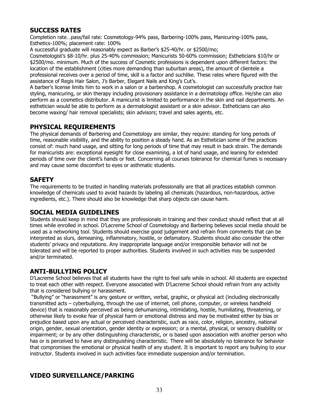## **SUCCESS RATES**

Completion rate…pass/fail rate: Cosmetology-94% pass, Barbering-100% pass, Manicuring-100% pass, Esthetics-100%; placement rate: 100%

A successful graduate will reasonably expect as Barber's \$25-40/hr. or \$2500/mo;

Cosmetologist's \$8-10/hr. plus 25-40% commission; Manicurists 50-60% commission; Estheticians \$10/hr or \$2500/mo. minimum. Much of the success of Cosmetic professions is dependent upon different factors: the location of the establishment (cities more demanding than suburban areas), the amount of clientele a professional receives over a period of time, skill is a factor and suchlike. These rates where figured with the assistance of Regis Hair Salon, J's Barber, Elegant Nails and King's Cut's.

A barber's license limits him to work in a salon or a barbershop. A cosmetologist can successfully practice hair styling, manicuring, or skin therapy including provisionary assistance in a dermatology office. He/she can also perform as a cosmetics distributor. A manicurist is limited to performance in the skin and nail departments. An esthetician would be able to perform as a dermatologist assistant or a skin advisor. Estheticians can also become waxing/ hair removal specialists; skin advisors; travel and sales agents, etc.

## **PHYSICAL REQUIREMENTS**

The physical demands of Barbering and Cosmetology are similar, they require: standing for long periods of time, reasonable visibility, and the ability to position a steady hand. As an Esthetician some of the practices consist of: much hand usage, and sitting for long periods of time that may result in back strain. The demands for manicurists are: exceptional eyesight for close examining, a lot of hand usage, and leaning for extended periods of time over the client's hands or feet. Concerning all courses tolerance for chemical fumes is necessary and may cause some discomfort to eyes or asthmatic students.

## **SAFETY**

The requirements to be trusted in handling materials professionally are that all practices establish common knowledge of chemicals used to avoid hazards by labeling all chemicals (hazardous, non-hazardous, active ingredients, etc.). There should also be knowledge that sharp objects can cause harm.

## **SOCIAL MEDIA GUIDELINES**

Students should keep in mind that they are professionals in training and their conduct should reflect that at all times while enrolled in school. D'Lacreme School of Cosmetology and Barbering believes social media should be used as a networking tool. Students should exercise good judgement and refrain from comments that can be interpreted as slurs, demeaning, inflammatory, hostile, or defamatory. Students should also consider the other students' privacy and reputations. Any inappropriate language and/or irresponsible behavior will not be tolerated and will be reported to proper authorities. Students involved in such activities may be suspended and/or terminated.

## **ANTI-BULLYING POLICY**

D'Lacreme School believes that all students have the right to feel safe while in school. All students are expected to treat each other with respect. Everyone associated with D'Lacreme School should refrain from any activity that is considered bullying or harassment.

"Bullying" or "harassment" is any gesture or written, verbal, graphic, or physical act (including electronically transmitted acts – cyberbullying, through the use of internet, cell phone, computer, or wireless handheld device) that is reasonably perceived as being dehumanizing, intimidating, hostile, humiliating, threatening, or otherwise likely to evoke fear of physical harm or emotional distress and may be motivated either by bias or prejudice based upon any actual or perceived characteristic, such as race, color, religion, ancestry, national origin, gender, sexual orientation, gender identity or expression; or a mental, physical, or sensory disability or impairment; or by any other distinguishing characteristic, or is based upon association with another person who has or is perceived to have any distinguishing characteristic. There will be absolutely no tolerance for behavior that compromises the emotional or physical health of any student. It is important to report any bullying to your instructor. Students involved in such activities face immediate suspension and/or termination.

## **VIDEO SURVEILLANCE/PARKING**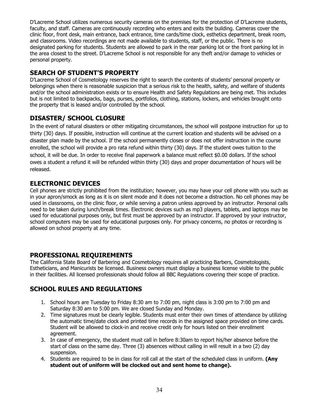D'Lacreme School utilizes numerous security cameras on the premises for the protection of D'Lacreme students, faculty, and staff. Cameras are continuously recording who enters and exits the building. Cameras cover the clinic floor, front desk, main entrance, back entrance, time cards/time clock, esthetics department, break room, and classrooms. Video recordings are not made available to students, staff, or the public. There is no designated parking for students. Students are allowed to park in the rear parking lot or the front parking lot in the area closest to the street. D'Lacreme School is not responsible for any theft and/or damage to vehicles or personal property.

## **SEARCH OF STUDENT'S PROPERTY**

D'Lacreme School of Cosmetology reserves the right to search the contents of students' personal property or belongings when there is reasonable suspicion that a serious risk to the health, safety, and welfare of students and/or the school administration exists or to ensure Health and Safety Regulations are being met. This includes but is not limited to backpacks, bags, purses, portfolios, clothing, stations, lockers, and vehicles brought onto the property that is leased and/or controlled by the school.

## **DISASTER/ SCHOOL CLOSURE**

In the event of natural disasters or other mitigating circumstances, the school will postpone instruction for up to thirty (30) days. If possible, instruction will continue at the current location and students will be advised on a disaster plan made by the school. If the school permanently closes or does not offer instruction in the course enrolled, the school will provide a pro rata refund within thirty (30) days. If the student owes tuition to the school, it will be due. In order to receive final paperwork a balance must reflect \$0.00 dollars. If the school owes a student a refund it will be refunded within thirty (30) days and proper documentation of hours will be released.

## **ELECTRONIC DEVICES**

Cell phones are strictly prohibited from the institution; however, you may have your cell phone with you such as in your apron/smock as long as it is on silent mode and it does not become a distraction. No cell phones may be used in classrooms, on the clinic floor, or while serving a patron unless approved by an instructor. Personal calls need to be taken during lunch/break times. Electronic devices such as mp3 players, tablets, and laptops may be used for educational purposes only, but first must be approved by an instructor. If approved by your instructor, school computers may be used for educational purposes only. For privacy concerns, no photos or recording is allowed on school property at any time.

## **PROFESSIONAL REQUIREMENTS**

The California State Board of Barbering and Cosmetology requires all practicing Barbers, Cosmetologists, Estheticians, and Manicurists be licensed. Business owners must display a business license visible to the public in their facilities. All licensed professionals should follow all BBC Regulations covering their scope of practice.

## **SCHOOL RULES AND REGULATIONS**

- 1. School hours are Tuesday to Friday 8:30 am to 7:00 pm, night class is 3:00 pm to 7:00 pm and Saturday 8:30 am to 5:00 pm. We are closed Sunday and Monday.
- 2. Time signatures must be clearly legible. Students must enter their own times of attendance by utilizing the automatic time/date clock and printed time records in the assigned space provided on time cards. Student will be allowed to clock-in and receive credit only for hours listed on their enrollment agreement.
- 3. In case of emergency, the student must call in before 8:30am to report his/her absence before the start of class on the same day. Three (3) absences without calling in will result in a two (2) day suspension.
- 4. Students are required to be in class for roll call at the start of the scheduled class in uniform. **(Any student out of uniform will be clocked out and sent home to change).**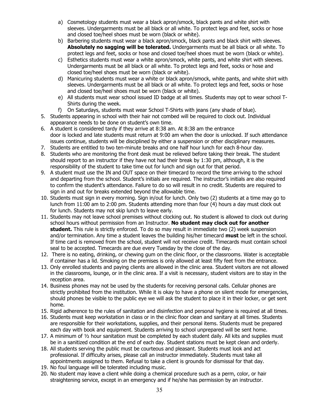- a) Cosmetology students must wear a black apron/smock, black pants and white shirt with sleeves. Undergarments must be all black or all white. To protect legs and feet, socks or hose and closed toe/heel shoes must be worn (black or white).
- b) Barbering students must wear a black apron/smock, black pants and black shirt with sleeves. **Absolutely no sagging will be tolerated.** Undergarments must be all black or all white. To protect legs and feet, socks or hose and closed toe/heel shoes must be worn (black or white).
- c) Esthetics students must wear a white apron/smock, white pants, and white shirt with sleeves. Undergarments must be all black or all white. To protect legs and feet, socks or hose and closed toe/heel shoes must be worn (black or white).
- d) Manicuring students must wear a white or black apron/smock, white pants, and white shirt with sleeves. Undergarments must be all black or all white. To protect legs and feet, socks or hose and closed toe/heel shoes must be worn (black or white).
- e) All students must wear school issued ID badge at all times. Students may opt to wear school T-Shirts during the week.
- f) On Saturdays, students must wear School T-Shirts with jeans (any shade of blue).
- 5. Students appearing in school with their hair not combed will be required to clock out. Individual appearance needs to be done on student's own time.
- 6. A student is considered tardy if they arrive at 8:38 am. At 8:38 am the entrance door is locked and late students must return at 9:00 am when the door is unlocked. If such attendance issues continue, students will be disciplined by either a suspension or other disciplinary measures.
- 7. Students are entitled to two ten-minute breaks and one half hour lunch for each 8-hour day.
- 8. Students who are monitoring the front desk must be relieved before taking their break. The student should report to an instructor if they have not had their break by 1:30 pm, although, it is the responsibility of the student to take time out for lunch and sign out for that period.
- 9. A student must use the IN and OUT space on their timecard to record the time arriving to the school and departing from the school. Student's initials are required. The instructor's initials are also required to confirm the student's attendance. Failure to do so will result in no credit. Students are required to sign in and out for breaks extended beyond the allowable time.
- 10. Students must sign in every morning. Sign in/out for lunch. Only two (2) students at a time may go to lunch from 11:00 am to 2:00 pm. Students attending more than four (4) hours a day must clock out for lunch. Students may not skip lunch to leave early.
- 11. Students may not leave school premises without clocking out. No student is allowed to clock out during school hours without permission from an Instructor. **No student may clock out for another student.** This rule is strictly enforced. To do so may result in immediate two (2) week suspension and/or termination. Any time a student leaves the building his/her timecard **must** be left in the school. If time card is removed from the school, student will not receive credit. Timecards must contain school seal to be accepted. Timecards are due every Tuesday by the close of the day.
- 12. There is no eating, drinking, or chewing gum on the clinic floor, or the classrooms. Water is acceptable if container has a lid. Smoking on the premises is only allowed at least fifty feet from the entrance.
- 13. Only enrolled students and paying clients are allowed in the clinic area. Student visitors are not allowed in the classrooms, lounge, or in the clinic area. If a visit is necessary, student visitors are to stay in the reception area.
- 14. Business phones may not be used by the students for receiving personal calls. Cellular phones are strictly prohibited from the institution. While it is okay to have a phone on silent mode for emergencies, should phones be visible to the public eye we will ask the student to place it in their locker, or get sent home.
- 15. Rigid adherence to the rules of sanitation and disinfection and personal hygiene is required at all times.
- 16. Students must keep workstation in class or in the clinic floor clean and sanitary at all times. Students are responsible for their workstations, supplies, and their personal items. Students must be prepared each day with book and equipment. Students arriving to school unprepared will be sent home.
- 17. A minimum of ½ hour sanitation must be completed by each student daily. All kits and supplies must be in a sanitized condition at the end of each day. Student stations must be kept clean and orderly.
- 18. All students serving the public must be courteous and pleasant. Students must look and act professional. If difficulty arises, please call an instructor immediately. Students must take all appointments assigned to them. Refusal to take a client is grounds for dismissal for that day.
- 19. No foul language will be tolerated including music.
- 20. No student may leave a client while doing a chemical procedure such as a perm, color, or hair straightening service, except in an emergency and if he/she has permission by an instructor.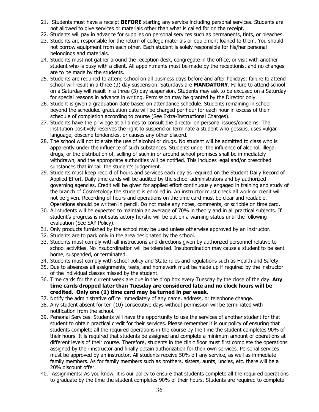- 21. Students must have a receipt **BEFORE** starting any service including personal services. Students are not allowed to give services or materials other than what is called for on the receipt.
- 22. Students will pay in advance for supplies on personal services such as permanents, tints, or bleaches.
- 23. Students are responsible for the return of college materials or equipment loaned to them. You should not borrow equipment from each other. Each student is solely responsible for his/her personal belongings and materials.
- 24. Students must not gather around the reception desk, congregate in the office, or visit with another student who is busy with a client. All appointments must be made by the receptionist and no changes are to be made by the students.
- 25. Students are required to attend school on all business days before and after holidays; failure to attend school will result in a three (3) day suspension. Saturdays are **MANDATORY**. Failure to attend school on a Saturday will result in a three (3) day suspension. Students may ask to be excused on a Saturday for special reasons in advance in writing. Permission may be granted by the Director only.
- 26. Student is given a graduation date based on attendance schedule. Students remaining in school beyond the scheduled graduation date will be charged per hour for each hour in excess of their schedule of completion according to course (See Extra-Instructional Charges).
- 27. Students have the privilege at all times to consult the director on personal issues/concerns. The institution positively reserves the right to suspend or terminate a student who gossips, uses vulgar language, obscene tendencies, or causes any other discord.
- 28. The school will not tolerate the use of alcohol or drugs. No student will be admitted to class who is apparently under the influence of such substances. Students under the influence of alcohol, illegal drugs, or the distribution of, selling of such in or around school premises shall be immediately withdrawn, and the appropriate authorities will be notified. This includes legal and/or prescribed substances that impair the student's judgement.
- 29. Students must keep record of hours and services each day as required on the Student Daily Record of Applied Effort. Daily time cards will be audited by the school administrators and by authorized governing agencies. Credit will be given for applied effort continuously engaged in training and study of the branch of Cosmetology the student is enrolled in. An instructor must check all work or credit will not be given. Recording of hours and operations on the time card must be clear and readable. Operations should be written in pencil. Do not make any notes, comments, or scribble on time card.
- 30. All students will be expected to maintain an average of 70% in theory and in all practical subjects. If student's progress is not satisfactory he/she will be put on a warning status until the following evaluation (See SAP Policy).
- 31. Only products furnished by the school may be used unless otherwise approved by an instructor.
- 32. Students are to park only in the area designated by the school.
- 33. Students must comply with all instructions and directions given by authorized personnel relative to school activities. No insubordination will be tolerated. Insubordination may cause a student to be sent home, suspended, or terminated.
- 34. Students must comply with school policy and State rules and regulations such as Health and Safety.
- 35. Due to absences all assignments, tests, and homework must be made up if required by the instructor of the individual classes missed by the student.
- 36. Time cards for the current week are due in the drop box every Tuesday by the close of the day. **Any time cards dropped later than Tuesday are considered late and no clock hours will be credited. Only one (1) time card may be turned in per week.**
- 37. Notify the administrative office immediately of any name, address, or telephone change.
- 38. Any student absent for ten (10) consecutive days without permission will be terminated with notification from the school.
- 39. Personal Services: Students will have the opportunity to use the services of another student for that student to obtain practical credit for their services. Please remember it is our policy of ensuring that students complete all the required operations in the course by the time the student completes 90% of their hours. It is required that students be assigned and complete a minimum amount of operations at different levels of their course. Therefore, students in the clinic floor must first complete the operations assigned by their instructor and finally obtain authorization for their own services. Personal services must be approved by an instructor. All students receive 50% off any service, as well as immediate family members. As for family members such as brothers, sisters, aunts, uncles, etc. there will be a 20% discount offer.
- 40. Assignments: As you know, it is our policy to ensure that students complete all the required operations to graduate by the time the student completes 90% of their hours. Students are required to complete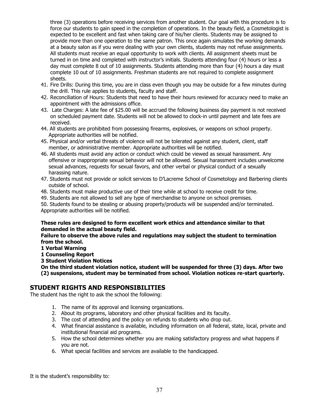three (3) operations before receiving services from another student. Our goal with this procedure is to force our students to gain speed in the completion of operations. In the beauty field, a Cosmetologist is expected to be excellent and fast when taking care of his/her clients. Students may be assigned to provide more than one operation to the same patron. This once again simulates the working demands at a beauty salon as if you were dealing with your own clients, students may not refuse assignments. All students must receive an equal opportunity to work with clients. All assignment sheets must be turned in on time and completed with instructor's initials. Students attending four (4) hours or less a day must complete 8 out of 10 assignments. Students attending more than four (4) hours a day must complete 10 out of 10 assignments. Freshman students are not required to complete assignment sheets.

- 41. Fire Drills: During this time, you are in class even though you may be outside for a few minutes during the drill. This rule applies to students, faculty and staff.
- 42. Reconciliation of Hours: Students that need to have their hours reviewed for accuracy need to make an appointment with the admissions office.
- 43. Late Charges: A late fee of \$25.00 will be accrued the following business day payment is not received on scheduled payment date. Students will not be allowed to clock-in until payment and late fees are received.
- 44. All students are prohibited from possessing firearms, explosives, or weapons on school property. Appropriate authorities will be notified.
- 45. Physical and/or verbal threats of violence will not be tolerated against any student, client, staff member, or administrative member. Appropriate authorities will be notified.
- 46. All students must avoid any action or conduct which could be viewed as sexual harassment. Any offensive or inappropriate sexual behavior will not be allowed. Sexual harassment includes unwelcome sexual advances, requests for sexual favors, and other verbal or physical conduct of a sexually harassing nature.
- 47. Students must not provide or solicit services to D'Lacreme School of Cosmetology and Barbering clients outside of school.
- 48. Students must make productive use of their time while at school to receive credit for time.
- 49. Students are not allowed to sell any type of merchandise to anyone on school premises.

50. Students found to be stealing or abusing property/products will be suspended and/or terminated. Appropriate authorities will be notified.

#### **These rules are designed to form excellent work ethics and attendance similar to that demanded in the actual beauty field.**

#### **Failure to observe the above rules and regulations may subject the student to termination from the school.**

- **1 Verbal Warning**
- **1 Counseling Report**
- **3 Student Violation Notices**

**On the third student violation notice, student will be suspended for three (3) days. After two (2) suspensions, student may be terminated from school. Violation notices re-start quarterly.**

## **STUDENT RIGHTS AND RESPONSIBILITIES**

The student has the right to ask the school the following:

- 1. The name of its approval and licensing organizations.
- 2. About its programs, laboratory and other physical facilities and its faculty.
- 3. The cost of attending and the policy on refunds to students who drop out.
- 4. What financial assistance is available, including information on all federal, state, local, private and institutional financial aid programs.
- 5. How the school determines whether you are making satisfactory progress and what happens if you are not.
- 6. What special facilities and services are available to the handicapped.

It is the student's responsibility to: